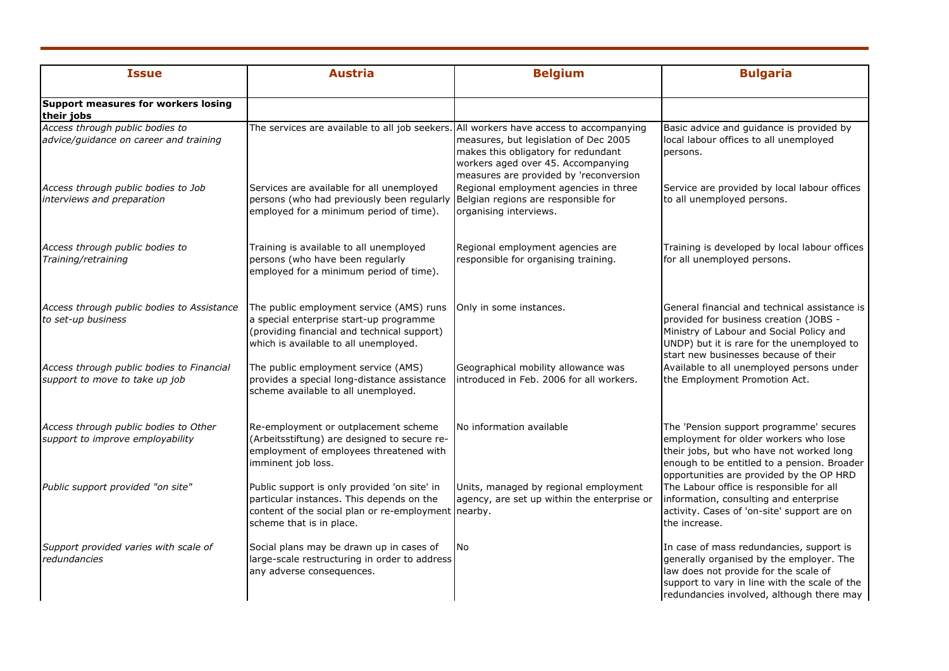| <b>Issue</b>                                                                | <b>Austria</b>                                                                                                                                                               | <b>Belgium</b>                                                                                                                                               | <b>Bulgaria</b>                                                                                                                                                                                                             |
|-----------------------------------------------------------------------------|------------------------------------------------------------------------------------------------------------------------------------------------------------------------------|--------------------------------------------------------------------------------------------------------------------------------------------------------------|-----------------------------------------------------------------------------------------------------------------------------------------------------------------------------------------------------------------------------|
| Support measures for workers losing<br>their jobs                           |                                                                                                                                                                              |                                                                                                                                                              |                                                                                                                                                                                                                             |
| Access through public bodies to<br>advice/guidance on career and training   | The services are available to all job seekers. All workers have access to accompanying                                                                                       | measures, but legislation of Dec 2005<br>makes this obligatory for redundant<br>workers aged over 45. Accompanying<br>measures are provided by 'reconversion | Basic advice and guidance is provided by<br>local labour offices to all unemployed<br>persons.                                                                                                                              |
| Access through public bodies to Job<br>interviews and preparation           | Services are available for all unemployed<br>persons (who had previously been regularly<br>employed for a minimum period of time).                                           | Regional employment agencies in three<br>Belgian regions are responsible for<br>organising interviews.                                                       | Service are provided by local labour offices<br>to all unemployed persons.                                                                                                                                                  |
| Access through public bodies to<br>Training/retraining                      | Training is available to all unemployed<br>persons (who have been regularly<br>employed for a minimum period of time).                                                       | Regional employment agencies are<br>responsible for organising training.                                                                                     | Training is developed by local labour offices<br>for all unemployed persons.                                                                                                                                                |
| Access through public bodies to Assistance<br>to set-up business            | The public employment service (AMS) runs<br>a special enterprise start-up programme<br>(providing financial and technical support)<br>which is available to all unemployed.  | Only in some instances.                                                                                                                                      | General financial and technical assistance is<br>provided for business creation (JOBS -<br>Ministry of Labour and Social Policy and<br>UNDP) but it is rare for the unemployed to<br>start new businesses because of their  |
| Access through public bodies to Financial<br>support to move to take up job | The public employment service (AMS)<br>provides a special long-distance assistance<br>scheme available to all unemployed.                                                    | Geographical mobility allowance was<br>introduced in Feb. 2006 for all workers.                                                                              | Available to all unemployed persons under<br>the Employment Promotion Act.                                                                                                                                                  |
| Access through public bodies to Other<br>support to improve employability   | Re-employment or outplacement scheme<br>(Arbeitsstiftung) are designed to secure re-<br>employment of employees threatened with<br>imminent job loss.                        | No information available                                                                                                                                     | The 'Pension support programme' secures<br>employment for older workers who lose<br>their jobs, but who have not worked long<br>enough to be entitled to a pension. Broader<br>opportunities are provided by the OP HRD     |
| Public support provided "on site"                                           | Public support is only provided 'on site' in<br>particular instances. This depends on the<br>content of the social plan or re-employment nearby.<br>scheme that is in place. | Units, managed by regional employment<br>agency, are set up within the enterprise or                                                                         | The Labour office is responsible for all<br>information, consulting and enterprise<br>activity. Cases of 'on-site' support are on<br>the increase.                                                                          |
| Support provided varies with scale of<br>redundancies                       | Social plans may be drawn up in cases of<br>large-scale restructuring in order to address<br>any adverse consequences.                                                       | <b>No</b>                                                                                                                                                    | In case of mass redundancies, support is<br>generally organised by the employer. The<br>law does not provide for the scale of<br>support to vary in line with the scale of the<br>redundancies involved, although there may |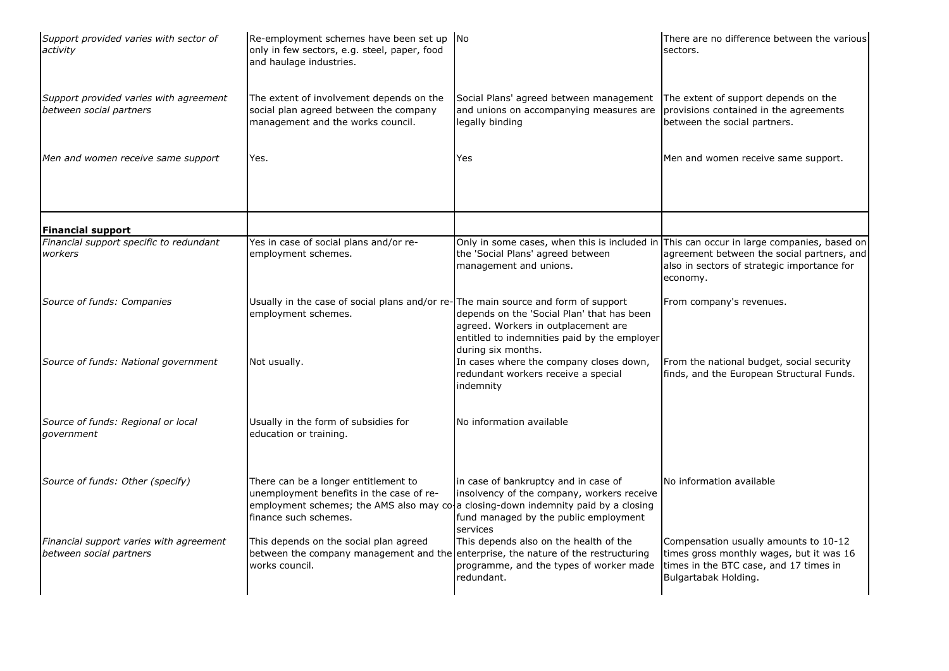| Support provided varies with sector of<br>activity                 | Re-employment schemes have been set up No<br>only in few sectors, e.g. steel, paper, food<br>and haulage industries.    |                                                                                                                                                                                                                                   | There are no difference between the various<br>sectors.                                                                                                                                           |
|--------------------------------------------------------------------|-------------------------------------------------------------------------------------------------------------------------|-----------------------------------------------------------------------------------------------------------------------------------------------------------------------------------------------------------------------------------|---------------------------------------------------------------------------------------------------------------------------------------------------------------------------------------------------|
| Support provided varies with agreement<br>between social partners  | The extent of involvement depends on the<br>social plan agreed between the company<br>management and the works council. | Social Plans' agreed between management<br>and unions on accompanying measures are<br>legally binding                                                                                                                             | The extent of support depends on the<br>provisions contained in the agreements<br>between the social partners.                                                                                    |
| Men and women receive same support                                 | Yes.                                                                                                                    | Yes                                                                                                                                                                                                                               | Men and women receive same support.                                                                                                                                                               |
| <b>Financial support</b>                                           |                                                                                                                         |                                                                                                                                                                                                                                   |                                                                                                                                                                                                   |
| Financial support specific to redundant<br>workers                 | Yes in case of social plans and/or re-<br>employment schemes.                                                           | the 'Social Plans' agreed between<br>management and unions.                                                                                                                                                                       | Only in some cases, when this is included in This can occur in large companies, based on<br>agreement between the social partners, and<br>also in sectors of strategic importance for<br>economy. |
| Source of funds: Companies                                         | Usually in the case of social plans and/or re-The main source and form of support<br>employment schemes.                | depends on the 'Social Plan' that has been<br>agreed. Workers in outplacement are<br>entitled to indemnities paid by the employer<br>during six months.                                                                           | From company's revenues.                                                                                                                                                                          |
| Source of funds: National government                               | Not usually.                                                                                                            | In cases where the company closes down,<br>redundant workers receive a special<br>indemnity                                                                                                                                       | From the national budget, social security<br>finds, and the European Structural Funds.                                                                                                            |
| Source of funds: Regional or local<br>government                   | Usually in the form of subsidies for<br>education or training.                                                          | No information available                                                                                                                                                                                                          |                                                                                                                                                                                                   |
| Source of funds: Other (specify)                                   | There can be a longer entitlement to<br>unemployment benefits in the case of re-<br>finance such schemes.               | in case of bankruptcy and in case of<br>insolvency of the company, workers receive<br>employment schemes; the AMS also may $\cos$ a closing-down indemnity paid by a closing<br>fund managed by the public employment<br>services | No information available                                                                                                                                                                          |
| Financial support varies with agreement<br>between social partners | This depends on the social plan agreed<br>between the company management and the<br>works council.                      | This depends also on the health of the<br>enterprise, the nature of the restructuring<br>programme, and the types of worker made<br>redundant.                                                                                    | Compensation usually amounts to 10-12<br>times gross monthly wages, but it was 16<br>times in the BTC case, and 17 times in<br>Bulgartabak Holding.                                               |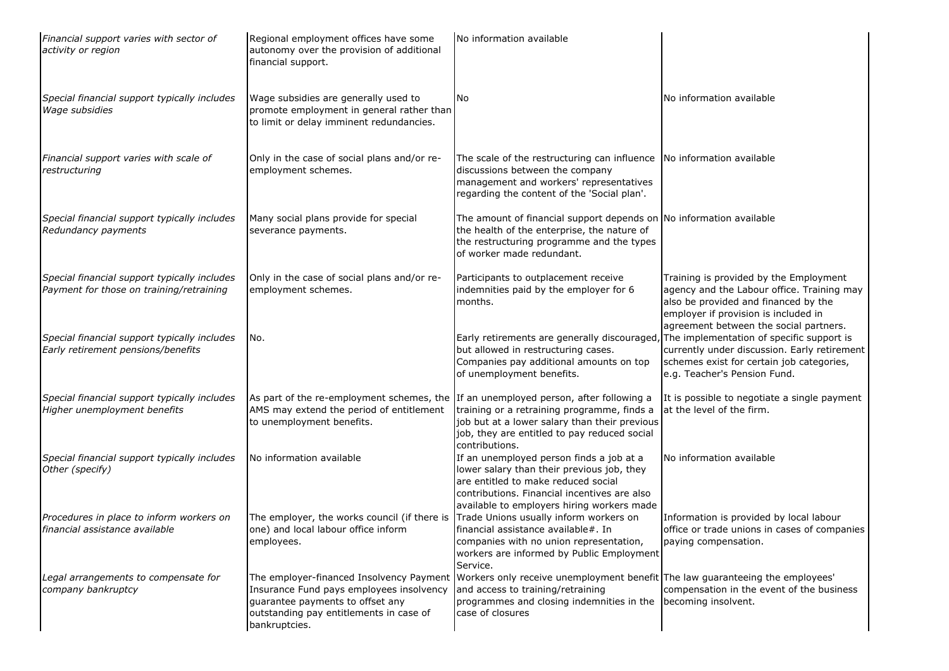| Financial support varies with sector of<br>activity or region                            | Regional employment offices have some<br>autonomy over the provision of additional<br>financial support.                                                                             | No information available                                                                                                                                                                                                    |                                                                                                                                                                                                                |
|------------------------------------------------------------------------------------------|--------------------------------------------------------------------------------------------------------------------------------------------------------------------------------------|-----------------------------------------------------------------------------------------------------------------------------------------------------------------------------------------------------------------------------|----------------------------------------------------------------------------------------------------------------------------------------------------------------------------------------------------------------|
| Special financial support typically includes<br>Wage subsidies                           | Wage subsidies are generally used to<br>promote employment in general rather than<br>to limit or delay imminent redundancies.                                                        | No.                                                                                                                                                                                                                         | No information available                                                                                                                                                                                       |
| Financial support varies with scale of<br>restructuring                                  | Only in the case of social plans and/or re-<br>employment schemes.                                                                                                                   | The scale of the restructuring can influence   No information available<br>discussions between the company<br>management and workers' representatives<br>regarding the content of the 'Social plan'.                        |                                                                                                                                                                                                                |
| Special financial support typically includes<br>Redundancy payments                      | Many social plans provide for special<br>severance payments.                                                                                                                         | The amount of financial support depends on No information available<br>the health of the enterprise, the nature of<br>the restructuring programme and the types<br>of worker made redundant.                                |                                                                                                                                                                                                                |
| Special financial support typically includes<br>Payment for those on training/retraining | Only in the case of social plans and/or re-<br>employment schemes.                                                                                                                   | Participants to outplacement receive<br>indemnities paid by the employer for 6<br>months.                                                                                                                                   | Training is provided by the Employment<br>agency and the Labour office. Training may<br>also be provided and financed by the<br>employer if provision is included in<br>agreement between the social partners. |
| Special financial support typically includes<br>Early retirement pensions/benefits       | No.                                                                                                                                                                                  | Early retirements are generally discouraged,<br>but allowed in restructuring cases.<br>Companies pay additional amounts on top<br>of unemployment benefits.                                                                 | The implementation of specific support is<br>currently under discussion. Early retirement<br>schemes exist for certain job categories,<br>e.g. Teacher's Pension Fund.                                         |
| Special financial support typically includes<br>Higher unemployment benefits             | As part of the re-employment schemes, the If an unemployed person, after following a<br>AMS may extend the period of entitlement<br>to unemployment benefits.                        | training or a retraining programme, finds a<br>job but at a lower salary than their previous<br>job, they are entitled to pay reduced social<br>contributions.                                                              | It is possible to negotiate a single payment<br>at the level of the firm.                                                                                                                                      |
| Special financial support typically includes<br>Other (specify)                          | No information available                                                                                                                                                             | If an unemployed person finds a job at a<br>lower salary than their previous job, they<br>are entitled to make reduced social<br>contributions. Financial incentives are also<br>available to employers hiring workers made | No information available                                                                                                                                                                                       |
| Procedures in place to inform workers on<br>financial assistance available               | The employer, the works council (if there is<br>one) and local labour office inform<br>employees.                                                                                    | Trade Unions usually inform workers on<br>financial assistance available#. In<br>companies with no union representation,<br>workers are informed by Public Employment<br>Service.                                           | Information is provided by local labour<br>office or trade unions in cases of companies<br>paying compensation.                                                                                                |
| Legal arrangements to compensate for<br>company bankruptcy                               | The employer-financed Insolvency Payment<br>Insurance Fund pays employees insolvency<br>quarantee payments to offset any<br>outstanding pay entitlements in case of<br>bankruptcies. | Workers only receive unemployment benefit The law guaranteeing the employees'<br>and access to training/retraining<br>programmes and closing indemnities in the<br>case of closures                                         | compensation in the event of the business<br>becoming insolvent.                                                                                                                                               |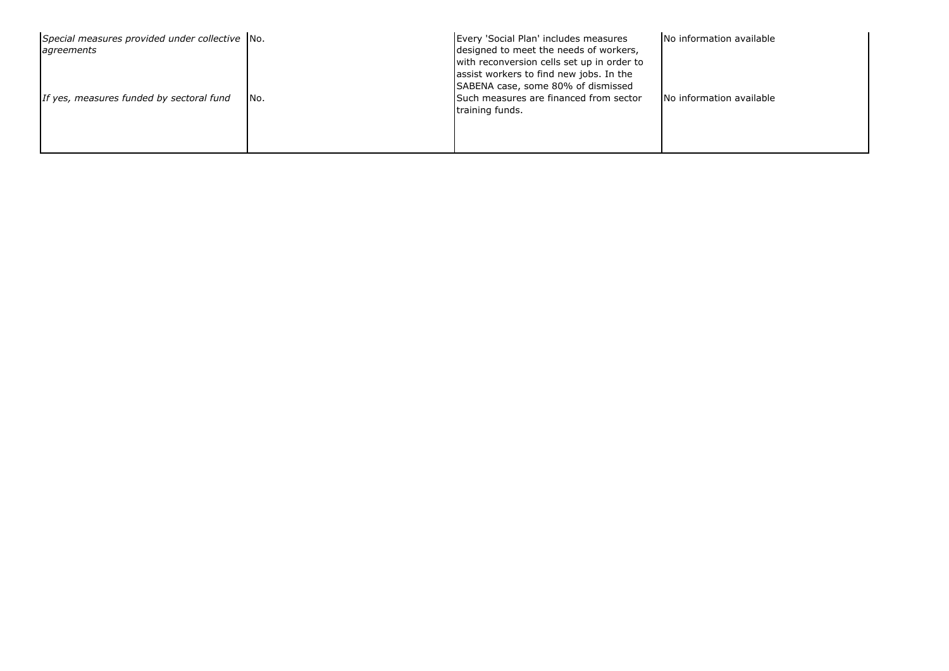| Special measures provided under collective No.<br>agreements |      | Every 'Social Plan' includes measures<br>designed to meet the needs of workers,<br>with reconversion cells set up in order to<br>assist workers to find new jobs. In the<br>SABENA case, some 80% of dismissed | No information available |
|--------------------------------------------------------------|------|----------------------------------------------------------------------------------------------------------------------------------------------------------------------------------------------------------------|--------------------------|
| If yes, measures funded by sectoral fund                     | INo. | Such measures are financed from sector<br>training funds.                                                                                                                                                      | No information available |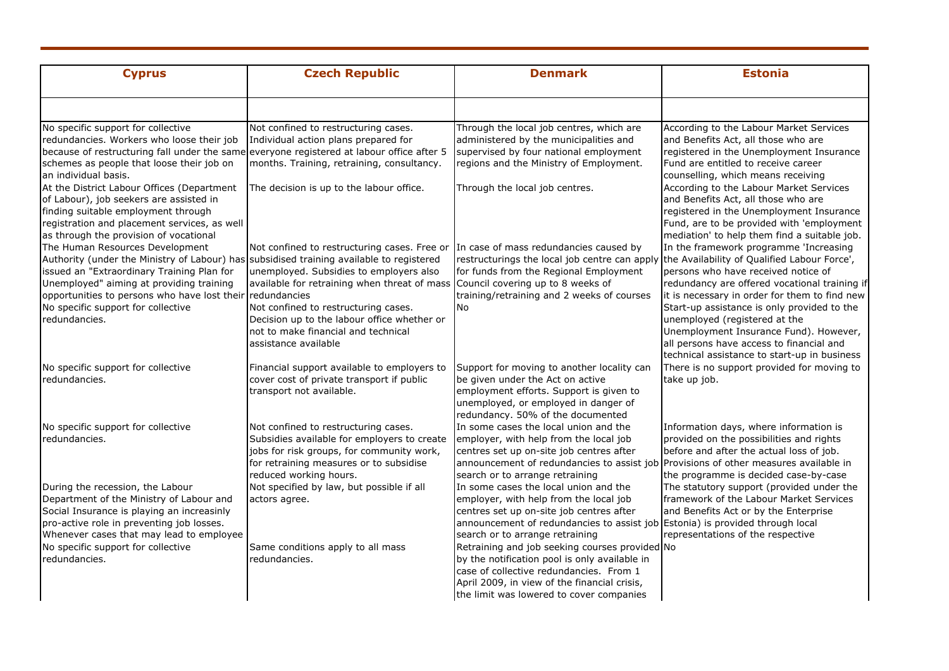| <b>Cyprus</b>                                                                                                                                                                                                                                                                                                                             | <b>Czech Republic</b>                                                                                                                                                                                                                                                                         | <b>Denmark</b>                                                                                                                                                                                                                                                          | <b>Estonia</b>                                                                                                                                                                                                                                                                                                                                                                                        |
|-------------------------------------------------------------------------------------------------------------------------------------------------------------------------------------------------------------------------------------------------------------------------------------------------------------------------------------------|-----------------------------------------------------------------------------------------------------------------------------------------------------------------------------------------------------------------------------------------------------------------------------------------------|-------------------------------------------------------------------------------------------------------------------------------------------------------------------------------------------------------------------------------------------------------------------------|-------------------------------------------------------------------------------------------------------------------------------------------------------------------------------------------------------------------------------------------------------------------------------------------------------------------------------------------------------------------------------------------------------|
| No specific support for collective                                                                                                                                                                                                                                                                                                        | Not confined to restructuring cases.                                                                                                                                                                                                                                                          | Through the local job centres, which are                                                                                                                                                                                                                                | According to the Labour Market Services                                                                                                                                                                                                                                                                                                                                                               |
| redundancies. Workers who loose their job<br>because of restructuring fall under the same<br>schemes as people that loose their job on<br>an individual basis.                                                                                                                                                                            | Individual action plans prepared for<br>everyone registered at labour office after 5<br>months. Training, retraining, consultancy.                                                                                                                                                            | administered by the municipalities and<br>supervised by four national employment<br>regions and the Ministry of Employment.                                                                                                                                             | and Benefits Act, all those who are<br>registered in the Unemployment Insurance<br>Fund are entitled to receive career<br>counselling, which means receiving                                                                                                                                                                                                                                          |
| At the District Labour Offices (Department<br>of Labour), job seekers are assisted in<br>finding suitable employment through<br>registration and placement services, as well<br>as through the provision of vocational                                                                                                                    | The decision is up to the labour office.                                                                                                                                                                                                                                                      | Through the local job centres.                                                                                                                                                                                                                                          | According to the Labour Market Services<br>and Benefits Act, all those who are<br>registered in the Unemployment Insurance<br>Fund, are to be provided with 'employment<br>mediation' to help them find a suitable job.                                                                                                                                                                               |
| The Human Resources Development<br>Authority (under the Ministry of Labour) has subsidised training available to registered<br>issued an "Extraordinary Training Plan for<br>Unemployed" aiming at providing training<br>opportunities to persons who have lost their redundancies<br>No specific support for collective<br>redundancies. | Not confined to restructuring cases. Free or<br>unemployed. Subsidies to employers also<br>available for retraining when threat of mass<br>Not confined to restructuring cases.<br>Decision up to the labour office whether or<br>not to make financial and technical<br>assistance available | In case of mass redundancies caused by<br>restructurings the local job centre can apply the Availability of Qualified Labour Force',<br>for funds from the Regional Employment<br>Council covering up to 8 weeks of<br>training/retraining and 2 weeks of courses<br>No | In the framework programme 'Increasing<br>persons who have received notice of<br>redundancy are offered vocational training if<br>it is necessary in order for them to find new<br>Start-up assistance is only provided to the<br>unemployed (registered at the<br>Unemployment Insurance Fund). However,<br>all persons have access to financial and<br>technical assistance to start-up in business |
| No specific support for collective<br>redundancies.                                                                                                                                                                                                                                                                                       | Financial support available to employers to<br>cover cost of private transport if public<br>transport not available.                                                                                                                                                                          | Support for moving to another locality can<br>be given under the Act on active<br>employment efforts. Support is given to<br>unemployed, or employed in danger of<br>redundancy. 50% of the documented                                                                  | There is no support provided for moving to<br>take up job.                                                                                                                                                                                                                                                                                                                                            |
| No specific support for collective<br>redundancies.                                                                                                                                                                                                                                                                                       | Not confined to restructuring cases.<br>Subsidies available for employers to create<br>jobs for risk groups, for community work,<br>for retraining measures or to subsidise<br>reduced working hours.                                                                                         | In some cases the local union and the<br>employer, with help from the local job<br>centres set up on-site job centres after<br>announcement of redundancies to assist job Provisions of other measures available in<br>search or to arrange retraining                  | Information days, where information is<br>provided on the possibilities and rights<br>before and after the actual loss of job.<br>the programme is decided case-by-case                                                                                                                                                                                                                               |
| During the recession, the Labour<br>Department of the Ministry of Labour and<br>Social Insurance is playing an increasinly<br>pro-active role in preventing job losses.<br>Whenever cases that may lead to employee<br>No specific support for collective                                                                                 | Not specified by law, but possible if all<br>actors agree.                                                                                                                                                                                                                                    | In some cases the local union and the<br>employer, with help from the local job<br>centres set up on-site job centres after<br>announcement of redundancies to assist job<br>search or to arrange retraining                                                            | The statutory support (provided under the<br>framework of the Labour Market Services<br>and Benefits Act or by the Enterprise<br>Estonia) is provided through local<br>representations of the respective                                                                                                                                                                                              |
| redundancies.                                                                                                                                                                                                                                                                                                                             | Same conditions apply to all mass<br>redundancies.                                                                                                                                                                                                                                            | Retraining and job seeking courses provided No<br>by the notification pool is only available in<br>case of collective redundancies. From 1<br>April 2009, in view of the financial crisis,<br>the limit was lowered to cover companies                                  |                                                                                                                                                                                                                                                                                                                                                                                                       |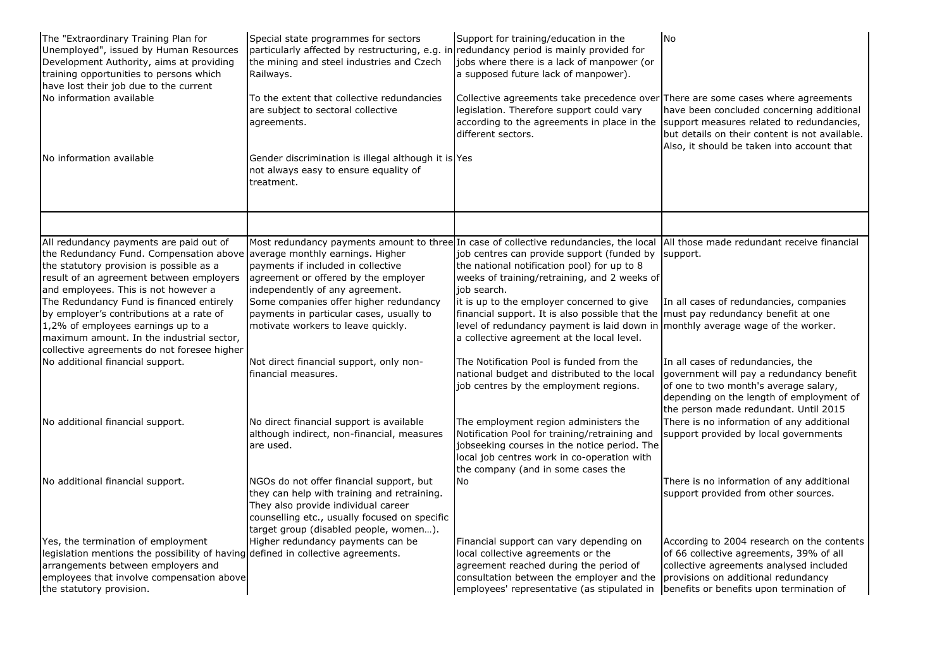| The "Extraordinary Training Plan for<br>Unemployed", issued by Human Resources<br>Development Authority, aims at providing<br>training opportunities to persons which<br>have lost their job due to the current<br>No information available<br>No information available | Special state programmes for sectors<br>particularly affected by restructuring, e.g. in<br>the mining and steel industries and Czech<br>Railways.<br>To the extent that collective redundancies<br>are subject to sectoral collective<br>agreements.<br>Gender discrimination is illegal although it is Yes<br>not always easy to ensure equality of<br>treatment. | Support for training/education in the<br>redundancy period is mainly provided for<br>jobs where there is a lack of manpower (or<br>a supposed future lack of manpower).<br>Collective agreements take precedence over There are some cases where agreements<br>legislation. Therefore support could vary<br>according to the agreements in place in the support measures related to redundancies,<br>different sectors. | <b>No</b><br>have been concluded concerning additional<br>but details on their content is not available.<br>Also, it should be taken into account that                                                              |
|-------------------------------------------------------------------------------------------------------------------------------------------------------------------------------------------------------------------------------------------------------------------------|--------------------------------------------------------------------------------------------------------------------------------------------------------------------------------------------------------------------------------------------------------------------------------------------------------------------------------------------------------------------|-------------------------------------------------------------------------------------------------------------------------------------------------------------------------------------------------------------------------------------------------------------------------------------------------------------------------------------------------------------------------------------------------------------------------|---------------------------------------------------------------------------------------------------------------------------------------------------------------------------------------------------------------------|
|                                                                                                                                                                                                                                                                         |                                                                                                                                                                                                                                                                                                                                                                    |                                                                                                                                                                                                                                                                                                                                                                                                                         |                                                                                                                                                                                                                     |
| All redundancy payments are paid out of<br>the Redundancy Fund. Compensation above average monthly earnings. Higher<br>the statutory provision is possible as a<br>result of an agreement between employers<br>and employees. This is not however a                     | payments if included in collective<br>agreement or offered by the employer<br>independently of any agreement.                                                                                                                                                                                                                                                      | Most redundancy payments amount to three In case of collective redundancies, the local<br>job centres can provide support (funded by<br>the national notification pool) for up to 8<br>weeks of training/retraining, and 2 weeks of<br>job search.                                                                                                                                                                      | All those made redundant receive financial<br>support.                                                                                                                                                              |
| The Redundancy Fund is financed entirely<br>by employer's contributions at a rate of<br>1,2% of employees earnings up to a<br>maximum amount. In the industrial sector,<br>collective agreements do not foresee higher                                                  | Some companies offer higher redundancy<br>payments in particular cases, usually to<br>motivate workers to leave quickly.                                                                                                                                                                                                                                           | it is up to the employer concerned to give<br>financial support. It is also possible that the must pay redundancy benefit at one<br>level of redundancy payment is laid down in monthly average wage of the worker.<br>a collective agreement at the local level.                                                                                                                                                       | In all cases of redundancies, companies                                                                                                                                                                             |
| No additional financial support.                                                                                                                                                                                                                                        | Not direct financial support, only non-<br>financial measures.                                                                                                                                                                                                                                                                                                     | The Notification Pool is funded from the<br>national budget and distributed to the local<br>job centres by the employment regions.                                                                                                                                                                                                                                                                                      | In all cases of redundancies, the<br>government will pay a redundancy benefit<br>of one to two month's average salary,<br>depending on the length of employment of<br>the person made redundant. Until 2015         |
| No additional financial support.                                                                                                                                                                                                                                        | No direct financial support is available<br>although indirect, non-financial, measures<br>are used.                                                                                                                                                                                                                                                                | The employment region administers the<br>Notification Pool for training/retraining and<br>jobseeking courses in the notice period. The<br>local job centres work in co-operation with<br>the company (and in some cases the                                                                                                                                                                                             | There is no information of any additional<br>support provided by local governments                                                                                                                                  |
| No additional financial support.                                                                                                                                                                                                                                        | NGOs do not offer financial support, but<br>they can help with training and retraining.<br>They also provide individual career<br>counselling etc., usually focused on specific<br>target group (disabled people, women).                                                                                                                                          | No                                                                                                                                                                                                                                                                                                                                                                                                                      | There is no information of any additional<br>support provided from other sources.                                                                                                                                   |
| Yes, the termination of employment<br>legislation mentions the possibility of having defined in collective agreements.<br>arrangements between employers and<br>employees that involve compensation above<br>the statutory provision.                                   | Higher redundancy payments can be                                                                                                                                                                                                                                                                                                                                  | Financial support can vary depending on<br>local collective agreements or the<br>agreement reached during the period of<br>consultation between the employer and the<br>employees' representative (as stipulated in                                                                                                                                                                                                     | According to 2004 research on the contents<br>of 66 collective agreements, 39% of all<br>collective agreements analysed included<br>provisions on additional redundancy<br>benefits or benefits upon termination of |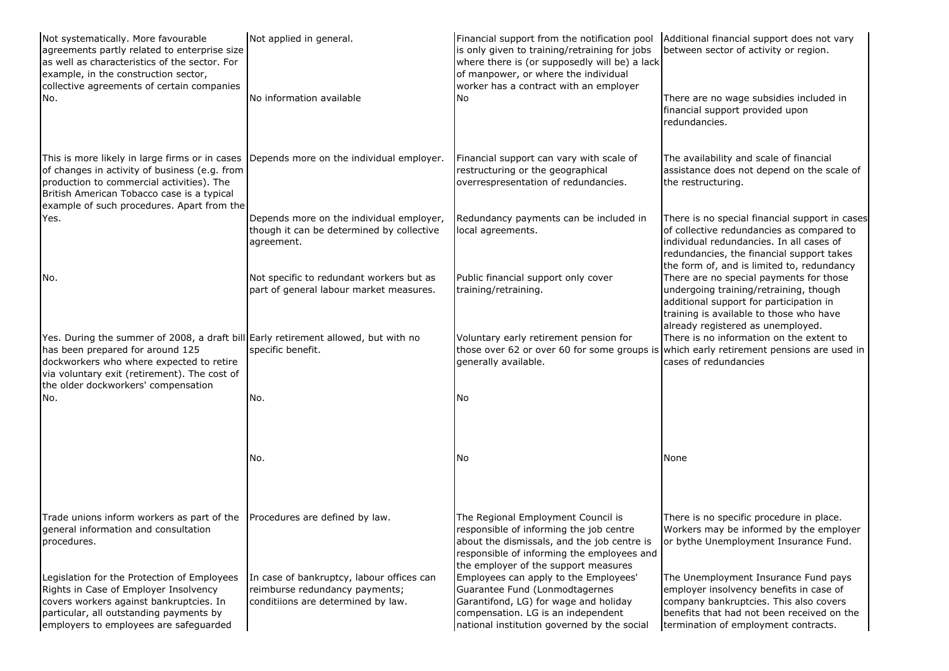| Not systematically. More favourable<br>agreements partly related to enterprise size<br>as well as characteristics of the sector. For<br>example, in the construction sector,<br>collective agreements of certain companies                                | Not applied in general.                                                                                           | Financial support from the notification pool<br>is only given to training/retraining for jobs<br>where there is (or supposedly will be) a lack<br>of manpower, or where the individual<br>worker has a contract with an employer | Additional financial support does not vary<br>between sector of activity or region.                                                                                                                                                |
|-----------------------------------------------------------------------------------------------------------------------------------------------------------------------------------------------------------------------------------------------------------|-------------------------------------------------------------------------------------------------------------------|----------------------------------------------------------------------------------------------------------------------------------------------------------------------------------------------------------------------------------|------------------------------------------------------------------------------------------------------------------------------------------------------------------------------------------------------------------------------------|
| No.                                                                                                                                                                                                                                                       | No information available                                                                                          | No.                                                                                                                                                                                                                              | There are no wage subsidies included in<br>financial support provided upon<br>redundancies.                                                                                                                                        |
| This is more likely in large firms or in cases<br>of changes in activity of business (e.g. from<br>production to commercial activities). The<br>British American Tobacco case is a typical<br>example of such procedures. Apart from the                  | Depends more on the individual employer.                                                                          | Financial support can vary with scale of<br>restructuring or the geographical<br>overrespresentation of redundancies.                                                                                                            | The availability and scale of financial<br>assistance does not depend on the scale of<br>the restructuring.                                                                                                                        |
| Yes.                                                                                                                                                                                                                                                      | Depends more on the individual employer,<br>though it can be determined by collective<br>agreement.               | Redundancy payments can be included in<br>local agreements.                                                                                                                                                                      | There is no special financial support in cases<br>of collective redundancies as compared to<br>individual redundancies. In all cases of<br>redundancies, the financial support takes<br>the form of, and is limited to, redundancy |
| No.                                                                                                                                                                                                                                                       | Not specific to redundant workers but as<br>part of general labour market measures.                               | Public financial support only cover<br>training/retraining.                                                                                                                                                                      | There are no special payments for those<br>undergoing training/retraining, though<br>additional support for participation in<br>training is available to those who have<br>already registered as unemployed.                       |
| Yes. During the summer of 2008, a draft bill Early retirement allowed, but with no<br>has been prepared for around 125<br>dockworkers who where expected to retire<br>via voluntary exit (retirement). The cost of<br>the older dockworkers' compensation | specific benefit.                                                                                                 | Voluntary early retirement pension for<br>those over 62 or over 60 for some groups is<br>generally available.                                                                                                                    | There is no information on the extent to<br>which early retirement pensions are used in<br>cases of redundancies                                                                                                                   |
| No.                                                                                                                                                                                                                                                       | No.                                                                                                               | No                                                                                                                                                                                                                               |                                                                                                                                                                                                                                    |
|                                                                                                                                                                                                                                                           | No.                                                                                                               | No                                                                                                                                                                                                                               | None                                                                                                                                                                                                                               |
| Trade unions inform workers as part of the<br>general information and consultation<br>procedures.                                                                                                                                                         | Procedures are defined by law.                                                                                    | The Regional Employment Council is<br>responsible of informing the job centre<br>about the dismissals, and the job centre is<br>responsible of informing the employees and<br>the employer of the support measures               | There is no specific procedure in place.<br>Workers may be informed by the employer<br>or bythe Unemployment Insurance Fund.                                                                                                       |
| Legislation for the Protection of Employees<br>Rights in Case of Employer Insolvency<br>covers workers against bankruptcies. In<br>particular, all outstanding payments by<br>employers to employees are safequarded                                      | In case of bankruptcy, labour offices can<br>reimburse redundancy payments;<br>conditiions are determined by law. | Employees can apply to the Employees'<br>Guarantee Fund (Lonmodtagernes<br>Garantifond, LG) for wage and holiday<br>compensation. LG is an independent<br>national institution governed by the social                            | The Unemployment Insurance Fund pays<br>employer insolvency benefits in case of<br>company bankruptcies. This also covers<br>benefits that had not been received on the<br>termination of employment contracts.                    |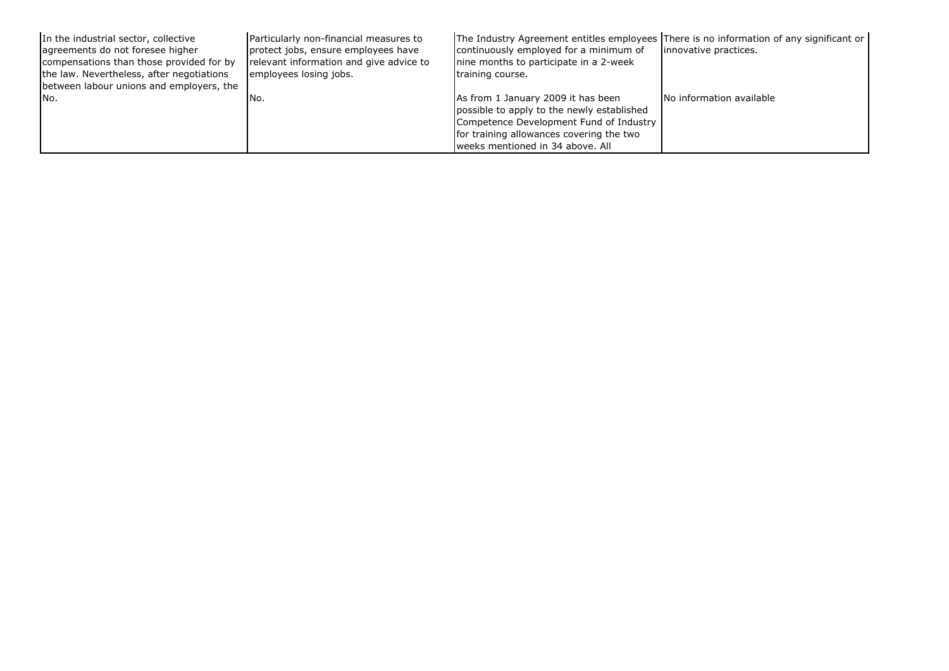| In the industrial sector, collective             | Particularly non-financial measures to  | The Industry Agreement entitles employees There is no information of any significant or                                                                                                                      | innovative practices.    |
|--------------------------------------------------|-----------------------------------------|--------------------------------------------------------------------------------------------------------------------------------------------------------------------------------------------------------------|--------------------------|
| agreements do not foresee higher                 | protect jobs, ensure employees have     | continuously employed for a minimum of                                                                                                                                                                       |                          |
| compensations than those provided for by         | relevant information and give advice to | nine months to participate in a 2-week                                                                                                                                                                       |                          |
| the law. Nevertheless, after negotiations        | employees losing jobs.                  | training course.                                                                                                                                                                                             |                          |
| between labour unions and employers, the<br>INo. | INo.                                    | As from 1 January 2009 it has been<br>possible to apply to the newly established<br>Competence Development Fund of Industry<br>for training allowances covering the two<br>Iweeks mentioned in 34 above. All | No information available |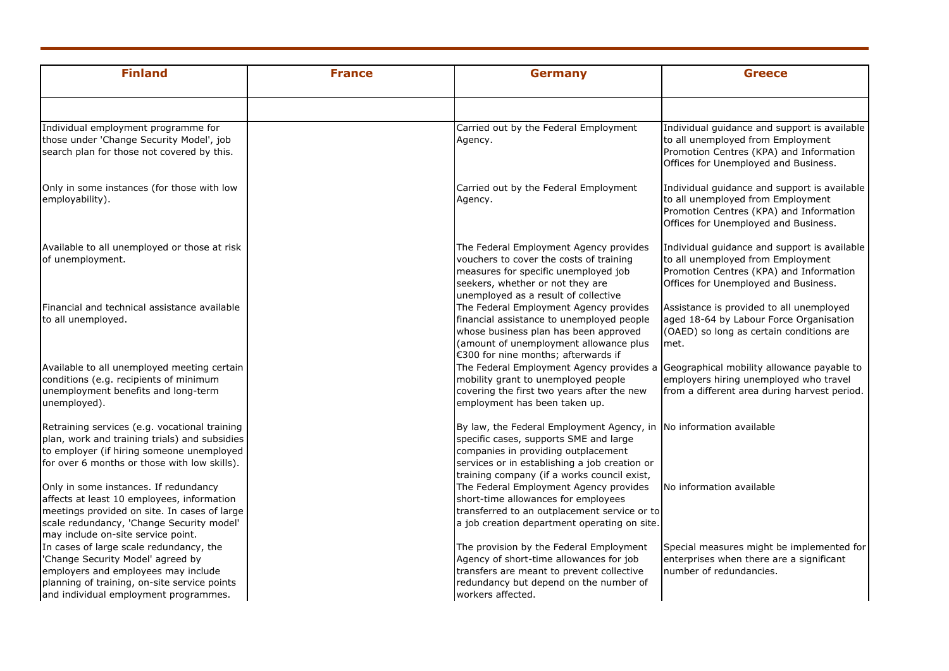| <b>Finland</b>                                                                                                                                                                                                         | <b>France</b> | <b>Germany</b>                                                                                                                                                                                                                                      | <b>Greece</b>                                                                                                                                                        |
|------------------------------------------------------------------------------------------------------------------------------------------------------------------------------------------------------------------------|---------------|-----------------------------------------------------------------------------------------------------------------------------------------------------------------------------------------------------------------------------------------------------|----------------------------------------------------------------------------------------------------------------------------------------------------------------------|
|                                                                                                                                                                                                                        |               |                                                                                                                                                                                                                                                     |                                                                                                                                                                      |
| Individual employment programme for<br>those under 'Change Security Model', job<br>search plan for those not covered by this.                                                                                          |               | Carried out by the Federal Employment<br>Agency.                                                                                                                                                                                                    | Individual guidance and support is available<br>to all unemployed from Employment<br>Promotion Centres (KPA) and Information<br>Offices for Unemployed and Business. |
| Only in some instances (for those with low<br>employability).                                                                                                                                                          |               | Carried out by the Federal Employment<br>Agency.                                                                                                                                                                                                    | Individual guidance and support is available<br>to all unemployed from Employment<br>Promotion Centres (KPA) and Information<br>Offices for Unemployed and Business. |
| Available to all unemployed or those at risk<br>of unemployment.                                                                                                                                                       |               | The Federal Employment Agency provides<br>vouchers to cover the costs of training<br>measures for specific unemployed job<br>seekers, whether or not they are<br>unemployed as a result of collective                                               | Individual guidance and support is available<br>to all unemployed from Employment<br>Promotion Centres (KPA) and Information<br>Offices for Unemployed and Business. |
| <b>Financial and technical assistance available</b><br>to all unemployed.                                                                                                                                              |               | The Federal Employment Agency provides<br>financial assistance to unemployed people<br>whose business plan has been approved<br>(amount of unemployment allowance plus<br>€300 for nine months; afterwards if                                       | Assistance is provided to all unemployed<br>aged 18-64 by Labour Force Organisation<br>(OAED) so long as certain conditions are<br>met.                              |
| Available to all unemployed meeting certain<br>conditions (e.g. recipients of minimum<br>unemployment benefits and long-term<br>unemployed).                                                                           |               | The Federal Employment Agency provides a<br>mobility grant to unemployed people<br>covering the first two years after the new<br>employment has been taken up.                                                                                      | Geographical mobility allowance payable to<br>employers hiring unemployed who travel<br>from a different area during harvest period.                                 |
| Retraining services (e.g. vocational training<br>plan, work and training trials) and subsidies<br>to employer (if hiring someone unemployed<br>for over 6 months or those with low skills).                            |               | By law, the Federal Employment Agency, in No information available<br>specific cases, supports SME and large<br>companies in providing outplacement<br>services or in establishing a job creation or<br>training company (if a works council exist, |                                                                                                                                                                      |
| Only in some instances. If redundancy<br>affects at least 10 employees, information<br>meetings provided on site. In cases of large<br>scale redundancy, 'Change Security model'<br>may include on-site service point. |               | The Federal Employment Agency provides<br>short-time allowances for employees<br>transferred to an outplacement service or to<br>a job creation department operating on site.                                                                       | No information available                                                                                                                                             |
| In cases of large scale redundancy, the<br>'Change Security Model' agreed by<br>employers and employees may include<br>planning of training, on-site service points<br>and individual employment programmes.           |               | The provision by the Federal Employment<br>Agency of short-time allowances for job<br>transfers are meant to prevent collective<br>redundancy but depend on the number of<br>workers affected.                                                      | Special measures might be implemented for<br>enterprises when there are a significant<br>number of redundancies.                                                     |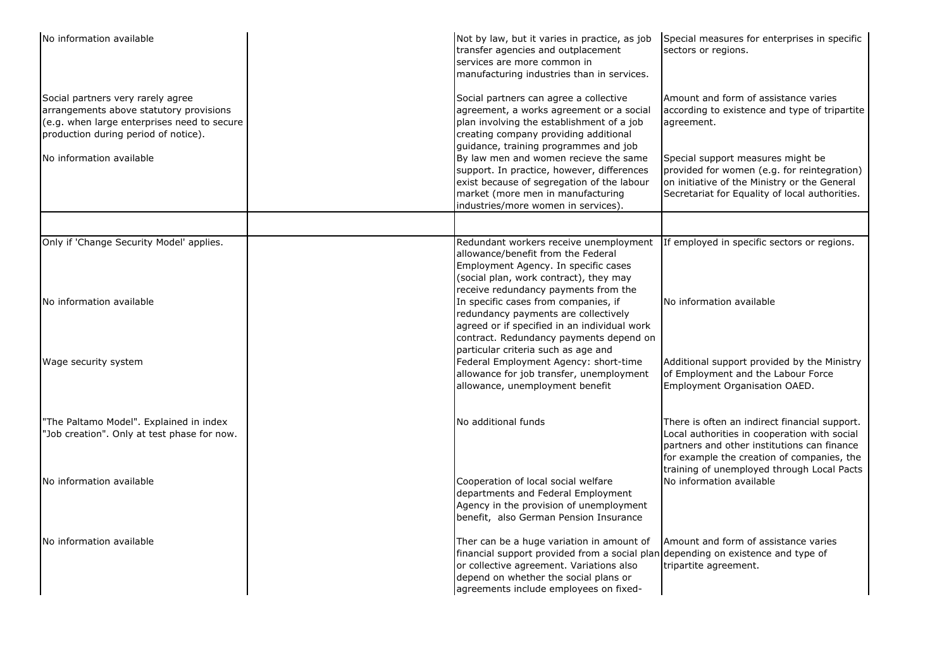| No information available                                                                                                                                            | Not by law, but it varies in practice, as job<br>transfer agencies and outplacement<br>services are more common in<br>manufacturing industries than in services.                                                                                             | Special measures for enterprises in specific<br>sectors or regions.                                                                                                                                                                      |
|---------------------------------------------------------------------------------------------------------------------------------------------------------------------|--------------------------------------------------------------------------------------------------------------------------------------------------------------------------------------------------------------------------------------------------------------|------------------------------------------------------------------------------------------------------------------------------------------------------------------------------------------------------------------------------------------|
| Social partners very rarely agree<br>arrangements above statutory provisions<br>(e.g. when large enterprises need to secure<br>production during period of notice). | Social partners can agree a collective<br>agreement, a works agreement or a social<br>plan involving the establishment of a job<br>creating company providing additional<br>guidance, training programmes and job                                            | Amount and form of assistance varies<br>according to existence and type of tripartite<br>agreement.                                                                                                                                      |
| No information available                                                                                                                                            | By law men and women recieve the same<br>support. In practice, however, differences<br>exist because of segregation of the labour<br>market (more men in manufacturing<br>industries/more women in services).                                                | Special support measures might be<br>provided for women (e.g. for reintegration)<br>on initiative of the Ministry or the General<br>Secretariat for Equality of local authorities.                                                       |
|                                                                                                                                                                     |                                                                                                                                                                                                                                                              |                                                                                                                                                                                                                                          |
| Only if 'Change Security Model' applies.                                                                                                                            | allowance/benefit from the Federal<br>Employment Agency. In specific cases<br>(social plan, work contract), they may<br>receive redundancy payments from the                                                                                                 | Redundant workers receive unemployment If employed in specific sectors or regions.                                                                                                                                                       |
| No information available                                                                                                                                            | In specific cases from companies, if<br>redundancy payments are collectively<br>agreed or if specified in an individual work<br>contract. Redundancy payments depend on<br>particular criteria such as age and                                               | No information available                                                                                                                                                                                                                 |
| Wage security system                                                                                                                                                | Federal Employment Agency: short-time<br>allowance for job transfer, unemployment<br>allowance, unemployment benefit                                                                                                                                         | Additional support provided by the Ministry<br>of Employment and the Labour Force<br>Employment Organisation OAED.                                                                                                                       |
| "The Paltamo Model". Explained in index<br>"Job creation". Only at test phase for now.                                                                              | No additional funds                                                                                                                                                                                                                                          | There is often an indirect financial support.<br>Local authorities in cooperation with social<br>partners and other institutions can finance<br>for example the creation of companies, the<br>training of unemployed through Local Pacts |
| No information available                                                                                                                                            | Cooperation of local social welfare<br>departments and Federal Employment<br>Agency in the provision of unemployment<br>benefit, also German Pension Insurance                                                                                               | No information available                                                                                                                                                                                                                 |
| No information available                                                                                                                                            | Ther can be a huge variation in amount of<br>financial support provided from a social plan depending on existence and type of<br>or collective agreement. Variations also<br>depend on whether the social plans or<br>agreements include employees on fixed- | Amount and form of assistance varies<br>tripartite agreement.                                                                                                                                                                            |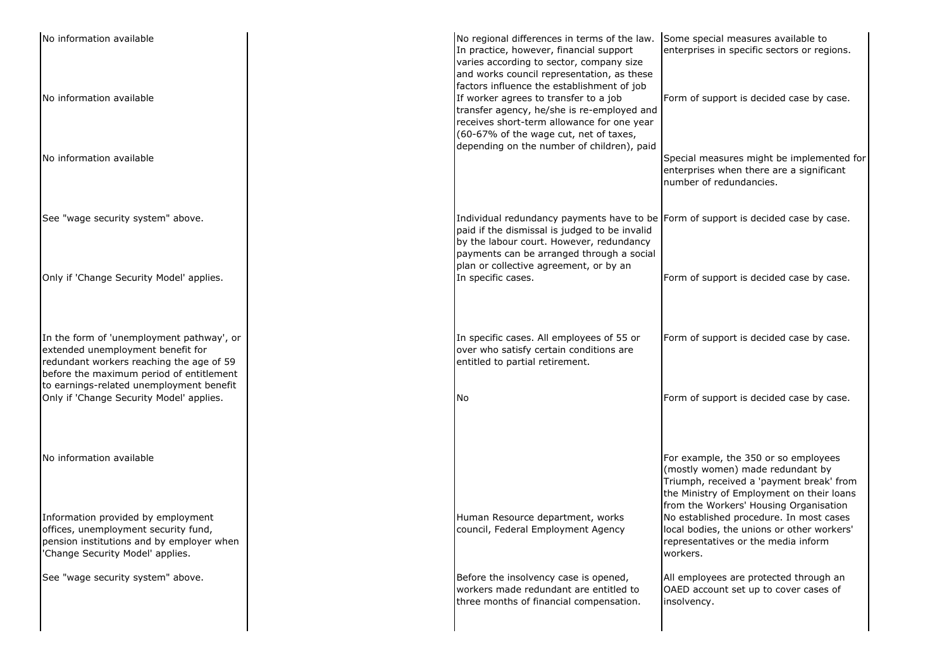| No information available<br>No information available                                                                                                                                                               | No regional differences in terms of the law. Some special measures available to<br>In practice, however, financial support<br>varies according to sector, company size<br>and works council representation, as these<br>factors influence the establishment of job<br>If worker agrees to transfer to a job<br>transfer agency, he/she is re-employed and<br>receives short-term allowance for one year | enterprises in specific sectors or regions.<br>Form of support is decided case by case.                                                                                                                     |  |
|--------------------------------------------------------------------------------------------------------------------------------------------------------------------------------------------------------------------|---------------------------------------------------------------------------------------------------------------------------------------------------------------------------------------------------------------------------------------------------------------------------------------------------------------------------------------------------------------------------------------------------------|-------------------------------------------------------------------------------------------------------------------------------------------------------------------------------------------------------------|--|
| No information available                                                                                                                                                                                           | (60-67% of the wage cut, net of taxes,<br>depending on the number of children), paid                                                                                                                                                                                                                                                                                                                    | Special measures might be implemented for<br>enterprises when there are a significant<br>number of redundancies.                                                                                            |  |
| See "wage security system" above.                                                                                                                                                                                  | Individual redundancy payments have to be Form of support is decided case by case.<br>paid if the dismissal is judged to be invalid<br>by the labour court. However, redundancy                                                                                                                                                                                                                         |                                                                                                                                                                                                             |  |
| Only if 'Change Security Model' applies.                                                                                                                                                                           | payments can be arranged through a social<br>plan or collective agreement, or by an<br>In specific cases.                                                                                                                                                                                                                                                                                               | Form of support is decided case by case.                                                                                                                                                                    |  |
| In the form of 'unemployment pathway', or<br>extended unemployment benefit for<br>redundant workers reaching the age of 59<br>before the maximum period of entitlement<br>to earnings-related unemployment benefit | In specific cases. All employees of 55 or<br>over who satisfy certain conditions are<br>entitled to partial retirement.                                                                                                                                                                                                                                                                                 | Form of support is decided case by case.                                                                                                                                                                    |  |
| Only if 'Change Security Model' applies.                                                                                                                                                                           | l No                                                                                                                                                                                                                                                                                                                                                                                                    | Form of support is decided case by case.                                                                                                                                                                    |  |
| No information available                                                                                                                                                                                           |                                                                                                                                                                                                                                                                                                                                                                                                         | For example, the 350 or so employees<br>(mostly women) made redundant by<br>Triumph, received a 'payment break' from<br>the Ministry of Employment on their loans<br>from the Workers' Housing Organisation |  |
| Information provided by employment<br>offices, unemployment security fund,<br>pension institutions and by employer when<br>'Change Security Model' applies.                                                        | Human Resource department, works<br>council, Federal Employment Agency                                                                                                                                                                                                                                                                                                                                  | No established procedure. In most cases<br>local bodies, the unions or other workers'<br>representatives or the media inform<br>workers.                                                                    |  |
| See "wage security system" above.                                                                                                                                                                                  | Before the insolvency case is opened,<br>workers made redundant are entitled to<br>three months of financial compensation.                                                                                                                                                                                                                                                                              | All employees are protected through an<br>OAED account set up to cover cases of<br>insolvency.                                                                                                              |  |
|                                                                                                                                                                                                                    |                                                                                                                                                                                                                                                                                                                                                                                                         |                                                                                                                                                                                                             |  |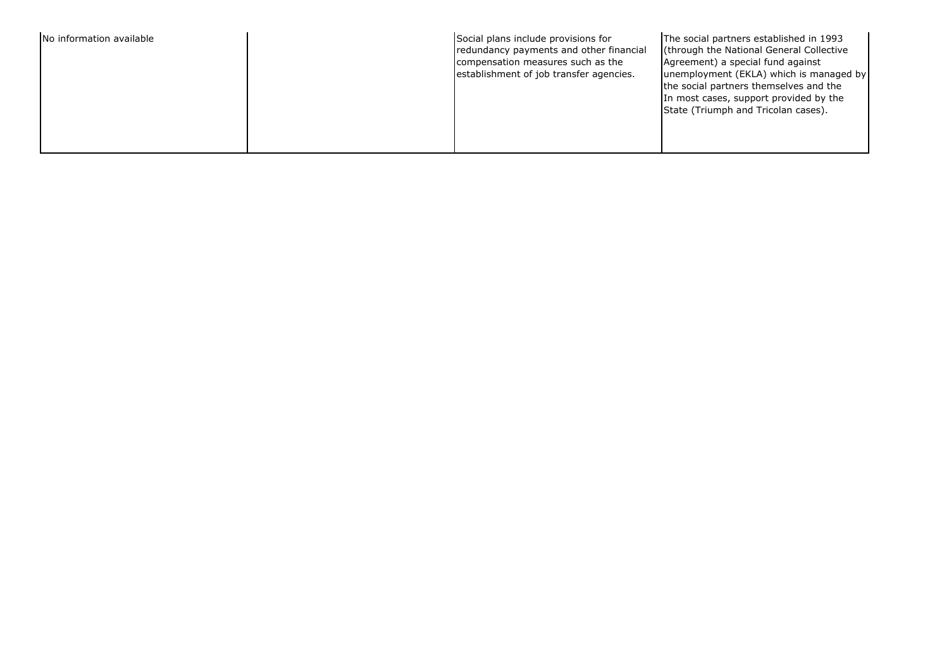| No information available | Social plans include provisions for<br>redundancy payments and other financial<br>compensation measures such as the<br>establishment of job transfer agencies. | The social partners established in 1993<br>(through the National General Collective<br>Agreement) a special fund against<br>unemployment (EKLA) which is managed by<br>the social partners themselves and the<br>In most cases, support provided by the<br>State (Triumph and Tricolan cases). |
|--------------------------|----------------------------------------------------------------------------------------------------------------------------------------------------------------|------------------------------------------------------------------------------------------------------------------------------------------------------------------------------------------------------------------------------------------------------------------------------------------------|
|--------------------------|----------------------------------------------------------------------------------------------------------------------------------------------------------------|------------------------------------------------------------------------------------------------------------------------------------------------------------------------------------------------------------------------------------------------------------------------------------------------|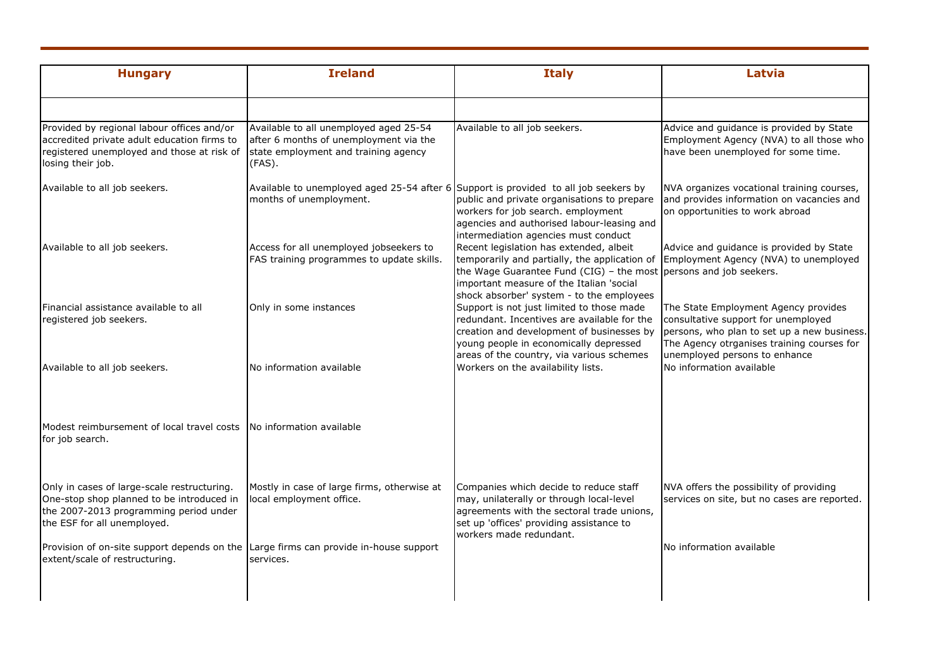| <b>Hungary</b>                                                                                                                                                    | <b>Ireland</b>                                                                                                                     | <b>Italy</b>                                                                                                                                                                                                                                                                                 | Latvia                                                                                                                                                                                                    |
|-------------------------------------------------------------------------------------------------------------------------------------------------------------------|------------------------------------------------------------------------------------------------------------------------------------|----------------------------------------------------------------------------------------------------------------------------------------------------------------------------------------------------------------------------------------------------------------------------------------------|-----------------------------------------------------------------------------------------------------------------------------------------------------------------------------------------------------------|
|                                                                                                                                                                   |                                                                                                                                    |                                                                                                                                                                                                                                                                                              |                                                                                                                                                                                                           |
| Provided by regional labour offices and/or<br>accredited private adult education firms to<br>registered unemployed and those at risk of<br>losing their job.      | Available to all unemployed aged 25-54<br>after 6 months of unemployment via the<br>state employment and training agency<br>(FAS). | Available to all job seekers.                                                                                                                                                                                                                                                                | Advice and guidance is provided by State<br>Employment Agency (NVA) to all those who<br>have been unemployed for some time.                                                                               |
| Available to all job seekers.                                                                                                                                     | Available to unemployed aged 25-54 after 6 Support is provided to all job seekers by<br>months of unemployment.                    | public and private organisations to prepare<br>workers for job search. employment<br>agencies and authorised labour-leasing and<br>intermediation agencies must conduct                                                                                                                      | NVA organizes vocational training courses,<br>and provides information on vacancies and<br>on opportunities to work abroad                                                                                |
| Available to all job seekers.                                                                                                                                     | Access for all unemployed jobseekers to<br>FAS training programmes to update skills.                                               | Recent legislation has extended, albeit<br>temporarily and partially, the application of Employment Agency (NVA) to unemployed<br>the Wage Guarantee Fund (CIG) – the most persons and job seekers.<br>important measure of the Italian 'social<br>shock absorber' system - to the employees | Advice and guidance is provided by State                                                                                                                                                                  |
| Financial assistance available to all<br>registered job seekers.                                                                                                  | Only in some instances                                                                                                             | Support is not just limited to those made<br>redundant. Incentives are available for the<br>creation and development of businesses by<br>young people in economically depressed<br>areas of the country, via various schemes                                                                 | The State Employment Agency provides<br>consultative support for unemployed<br>persons, who plan to set up a new business.<br>The Agency otrganises training courses for<br>unemployed persons to enhance |
| Available to all job seekers.                                                                                                                                     | No information available                                                                                                           | Workers on the availability lists.                                                                                                                                                                                                                                                           | No information available                                                                                                                                                                                  |
| Modest reimbursement of local travel costs INo information available<br>for job search.                                                                           |                                                                                                                                    |                                                                                                                                                                                                                                                                                              |                                                                                                                                                                                                           |
| Only in cases of large-scale restructuring.<br>One-stop shop planned to be introduced in<br>the 2007-2013 programming period under<br>the ESF for all unemployed. | Mostly in case of large firms, otherwise at<br>local employment office.                                                            | Companies which decide to reduce staff<br>may, unilaterally or through local-level<br>agreements with the sectoral trade unions,<br>set up 'offices' providing assistance to<br>workers made redundant.                                                                                      | NVA offers the possibility of providing<br>services on site, but no cases are reported.                                                                                                                   |
| Provision of on-site support depends on the Large firms can provide in-house support<br>extent/scale of restructuring.                                            | services.                                                                                                                          |                                                                                                                                                                                                                                                                                              | No information available                                                                                                                                                                                  |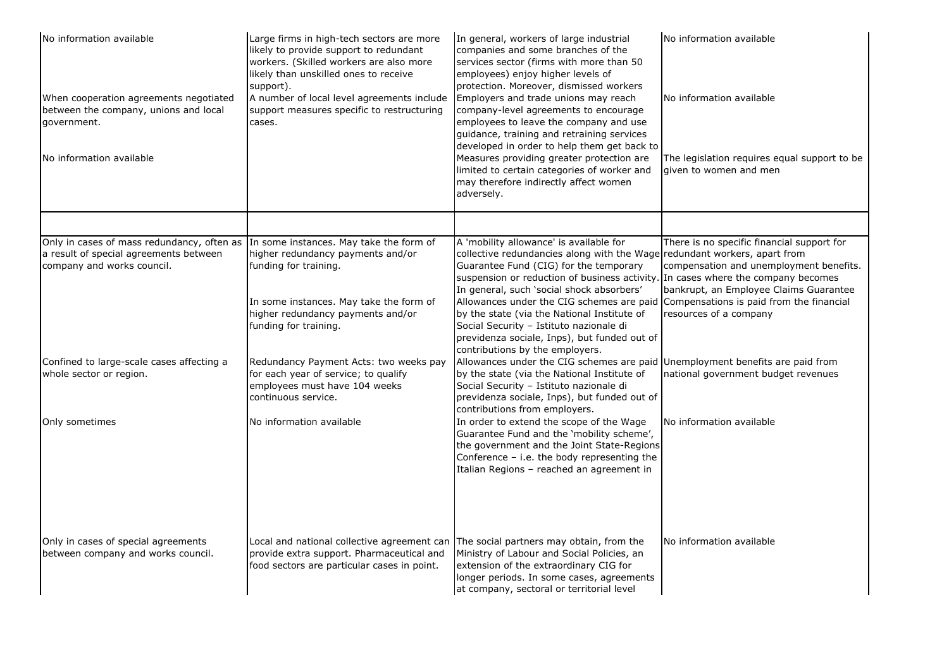| No information available<br>When cooperation agreements negotiated<br>between the company, unions and local<br>government.                                 | Large firms in high-tech sectors are more<br>likely to provide support to redundant<br>workers. (Skilled workers are also more<br>likely than unskilled ones to receive<br>support).<br>A number of local level agreements include<br>support measures specific to restructuring<br>cases. | In general, workers of large industrial<br>companies and some branches of the<br>services sector (firms with more than 50<br>employees) enjoy higher levels of<br>protection. Moreover, dismissed workers<br>Employers and trade unions may reach<br>company-level agreements to encourage<br>employees to leave the company and use<br>guidance, training and retraining services | No information available<br>No information available                                                                                                             |
|------------------------------------------------------------------------------------------------------------------------------------------------------------|--------------------------------------------------------------------------------------------------------------------------------------------------------------------------------------------------------------------------------------------------------------------------------------------|------------------------------------------------------------------------------------------------------------------------------------------------------------------------------------------------------------------------------------------------------------------------------------------------------------------------------------------------------------------------------------|------------------------------------------------------------------------------------------------------------------------------------------------------------------|
| No information available                                                                                                                                   |                                                                                                                                                                                                                                                                                            | developed in order to help them get back to<br>Measures providing greater protection are<br>limited to certain categories of worker and<br>may therefore indirectly affect women<br>adversely.                                                                                                                                                                                     | The legislation requires equal support to be<br>given to women and men                                                                                           |
|                                                                                                                                                            |                                                                                                                                                                                                                                                                                            |                                                                                                                                                                                                                                                                                                                                                                                    |                                                                                                                                                                  |
| Only in cases of mass redundancy, often as In some instances. May take the form of<br>a result of special agreements between<br>company and works council. | higher redundancy payments and/or<br>funding for training.                                                                                                                                                                                                                                 | A 'mobility allowance' is available for<br>collective redundancies along with the Wage<br>Guarantee Fund (CIG) for the temporary<br>suspension or reduction of business activity. In cases where the company becomes<br>In general, such 'social shock absorbers'                                                                                                                  | There is no specific financial support for<br>redundant workers, apart from<br>compensation and unemployment benefits.<br>bankrupt, an Employee Claims Guarantee |
|                                                                                                                                                            | In some instances. May take the form of<br>higher redundancy payments and/or<br>funding for training.                                                                                                                                                                                      | Allowances under the CIG schemes are paid<br>by the state (via the National Institute of<br>Social Security - Istituto nazionale di<br>previdenza sociale, Inps), but funded out of                                                                                                                                                                                                | Compensations is paid from the financial<br>resources of a company                                                                                               |
| Confined to large-scale cases affecting a<br>whole sector or region.                                                                                       | Redundancy Payment Acts: two weeks pay<br>for each year of service; to qualify<br>employees must have 104 weeks<br>continuous service.                                                                                                                                                     | contributions by the employers.<br>Allowances under the CIG schemes are paid Unemployment benefits are paid from<br>by the state (via the National Institute of<br>Social Security - Istituto nazionale di<br>previdenza sociale, Inps), but funded out of                                                                                                                         | national government budget revenues                                                                                                                              |
| Only sometimes                                                                                                                                             | No information available                                                                                                                                                                                                                                                                   | contributions from employers.<br>In order to extend the scope of the Wage<br>Guarantee Fund and the 'mobility scheme',<br>the government and the Joint State-Regions<br>Conference - i.e. the body representing the<br>Italian Regions - reached an agreement in                                                                                                                   | No information available                                                                                                                                         |
| Only in cases of special agreements<br>between company and works council.                                                                                  | Local and national collective agreement can<br>provide extra support. Pharmaceutical and<br>food sectors are particular cases in point.                                                                                                                                                    | The social partners may obtain, from the<br>Ministry of Labour and Social Policies, an<br>extension of the extraordinary CIG for<br>longer periods. In some cases, agreements<br>at company, sectoral or territorial level                                                                                                                                                         | No information available                                                                                                                                         |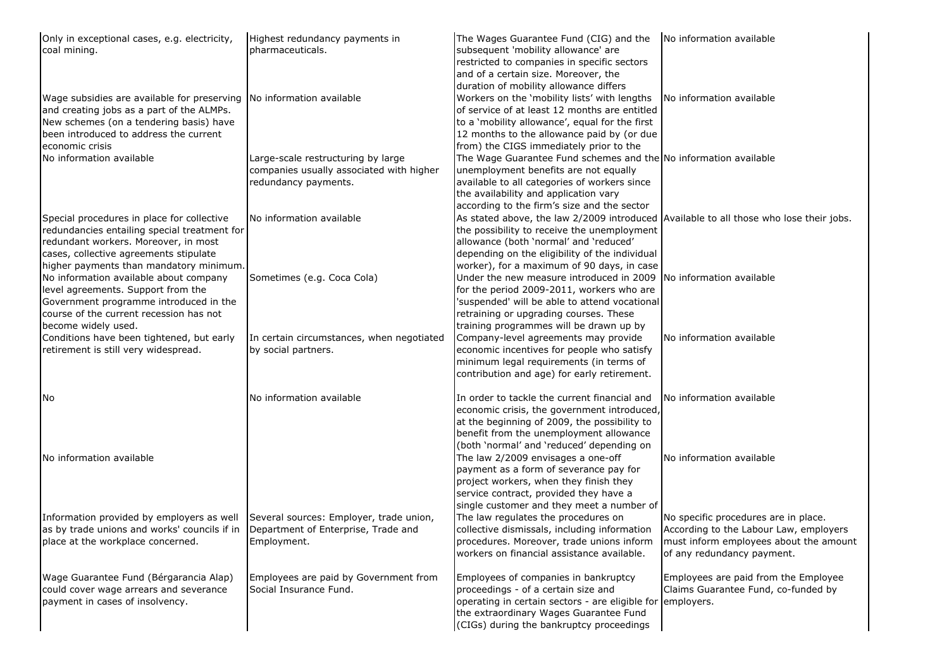| Only in exceptional cases, e.g. electricity,<br>coal mining.                                                                                                                                                              | Highest redundancy payments in<br>pharmaceuticals.                                                     | The Wages Guarantee Fund (CIG) and the<br>subsequent 'mobility allowance' are<br>restricted to companies in specific sectors<br>and of a certain size. Moreover, the<br>duration of mobility allowance differs                                                                  | No information available                                                                                                                               |
|---------------------------------------------------------------------------------------------------------------------------------------------------------------------------------------------------------------------------|--------------------------------------------------------------------------------------------------------|---------------------------------------------------------------------------------------------------------------------------------------------------------------------------------------------------------------------------------------------------------------------------------|--------------------------------------------------------------------------------------------------------------------------------------------------------|
| Wage subsidies are available for preserving No information available<br>and creating jobs as a part of the ALMPs.<br>New schemes (on a tendering basis) have<br>been introduced to address the current<br>economic crisis |                                                                                                        | Workers on the 'mobility lists' with lengths<br>of service of at least 12 months are entitled<br>to a 'mobility allowance', equal for the first<br>12 months to the allowance paid by (or due<br>from) the CIGS immediately prior to the                                        | No information available                                                                                                                               |
| No information available                                                                                                                                                                                                  | Large-scale restructuring by large<br>companies usually associated with higher<br>redundancy payments. | The Wage Guarantee Fund schemes and the No information available<br>unemployment benefits are not equally<br>available to all categories of workers since<br>the availability and application vary<br>according to the firm's size and the sector                               |                                                                                                                                                        |
| Special procedures in place for collective<br>redundancies entailing special treatment for<br>redundant workers. Moreover, in most<br>cases, collective agreements stipulate<br>higher payments than mandatory minimum.   | No information available                                                                               | As stated above, the law 2/2009 introduced Available to all those who lose their jobs.<br>the possibility to receive the unemployment<br>allowance (both 'normal' and 'reduced'<br>depending on the eligibility of the individual<br>worker), for a maximum of 90 days, in case |                                                                                                                                                        |
| No information available about company<br>level agreements. Support from the<br>Government programme introduced in the<br>course of the current recession has not<br>become widely used.                                  | Sometimes (e.g. Coca Cola)                                                                             | Under the new measure introduced in 2009<br>for the period 2009-2011, workers who are<br>'suspended' will be able to attend vocational<br>retraining or upgrading courses. These<br>training programmes will be drawn up by                                                     | No information available                                                                                                                               |
| Conditions have been tightened, but early<br>retirement is still very widespread.                                                                                                                                         | In certain circumstances, when negotiated<br>by social partners.                                       | Company-level agreements may provide<br>economic incentives for people who satisfy<br>minimum legal requirements (in terms of<br>contribution and age) for early retirement.                                                                                                    | No information available                                                                                                                               |
| INo.                                                                                                                                                                                                                      | No information available                                                                               | In order to tackle the current financial and<br>economic crisis, the government introduced,<br>at the beginning of 2009, the possibility to<br>benefit from the unemployment allowance<br>(both 'normal' and 'reduced' depending on                                             | No information available                                                                                                                               |
| No information available                                                                                                                                                                                                  |                                                                                                        | The law 2/2009 envisages a one-off<br>payment as a form of severance pay for<br>project workers, when they finish they<br>service contract, provided they have a<br>single customer and they meet a number of                                                                   | No information available                                                                                                                               |
| Information provided by employers as well<br>as by trade unions and works' councils if in Department of Enterprise, Trade and<br>place at the workplace concerned.                                                        | Several sources: Employer, trade union,<br>Employment.                                                 | The law regulates the procedures on<br>collective dismissals, including information<br>procedures. Moreover, trade unions inform<br>workers on financial assistance available.                                                                                                  | No specific procedures are in place.<br>According to the Labour Law, employers<br>must inform employees about the amount<br>of any redundancy payment. |
| Wage Guarantee Fund (Bérgarancia Alap)<br>could cover wage arrears and severance<br>payment in cases of insolvency.                                                                                                       | Employees are paid by Government from<br>Social Insurance Fund.                                        | Employees of companies in bankruptcy<br>proceedings - of a certain size and<br>operating in certain sectors - are eligible for employers.<br>the extraordinary Wages Guarantee Fund<br>(CIGs) during the bankruptcy proceedings                                                 | Employees are paid from the Employee<br>Claims Guarantee Fund, co-funded by                                                                            |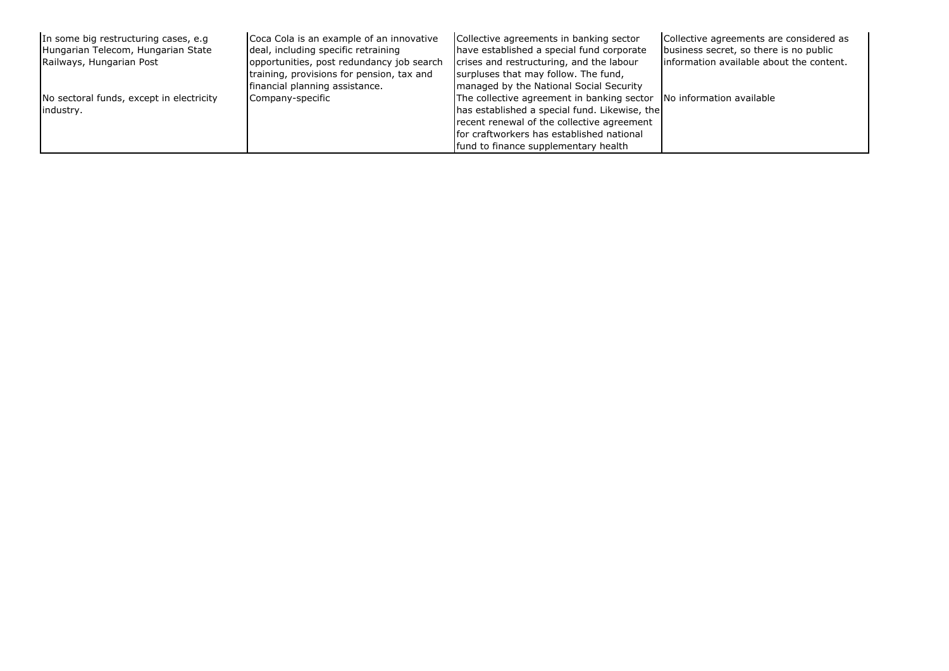| In some big restructuring cases, e.g.<br>Hungarian Telecom, Hungarian State<br>Railways, Hungarian Post | Coca Cola is an example of an innovative<br>deal, including specific retraining<br>opportunities, post redundancy job search<br>training, provisions for pension, tax and<br>financial planning assistance. | Collective agreements in banking sector<br>have established a special fund corporate<br>crises and restructuring, and the labour<br>surpluses that may follow. The fund,<br>managed by the National Social Security                                     | Collective agreements are considered as<br>business secret, so there is no public<br>linformation available about the content. |
|---------------------------------------------------------------------------------------------------------|-------------------------------------------------------------------------------------------------------------------------------------------------------------------------------------------------------------|---------------------------------------------------------------------------------------------------------------------------------------------------------------------------------------------------------------------------------------------------------|--------------------------------------------------------------------------------------------------------------------------------|
| No sectoral funds, except in electricity<br>industry.                                                   | Company-specific                                                                                                                                                                                            | The collective agreement in banking sector No information available<br>has established a special fund. Likewise, the<br>recent renewal of the collective agreement<br>for craftworkers has established national<br>fund to finance supplementary health |                                                                                                                                |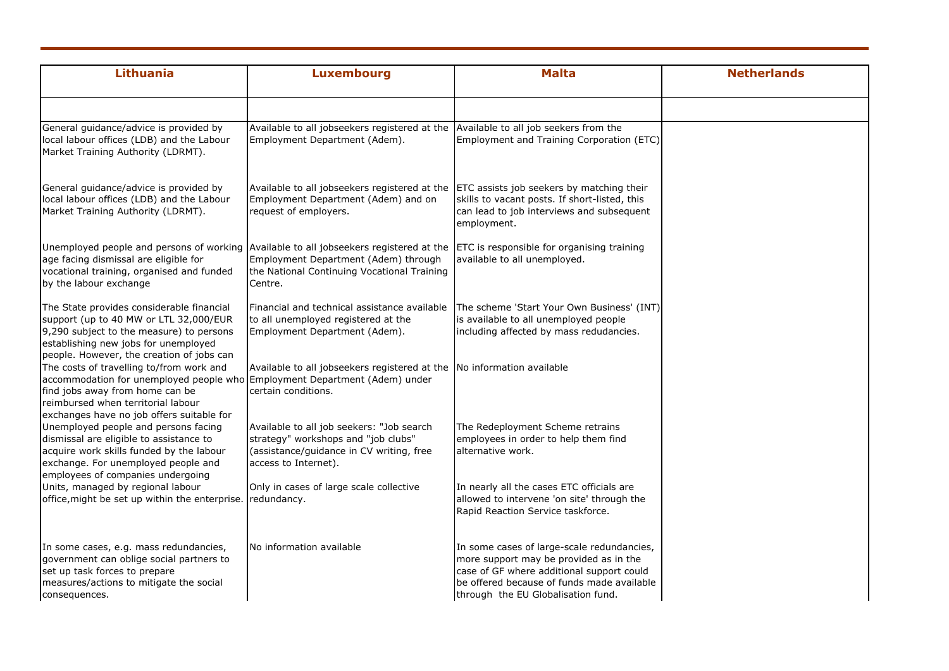| Lithuania                                                                                                                                                                                                                                    | <b>Luxembourg</b>                                                                                                                                                                        | <b>Malta</b>                                                                                                                                                                                                          | <b>Netherlands</b> |
|----------------------------------------------------------------------------------------------------------------------------------------------------------------------------------------------------------------------------------------------|------------------------------------------------------------------------------------------------------------------------------------------------------------------------------------------|-----------------------------------------------------------------------------------------------------------------------------------------------------------------------------------------------------------------------|--------------------|
|                                                                                                                                                                                                                                              |                                                                                                                                                                                          |                                                                                                                                                                                                                       |                    |
| General guidance/advice is provided by<br>local labour offices (LDB) and the Labour<br>Market Training Authority (LDRMT).                                                                                                                    | Available to all jobseekers registered at the Available to all job seekers from the<br>Employment Department (Adem).                                                                     | Employment and Training Corporation (ETC)                                                                                                                                                                             |                    |
| General guidance/advice is provided by<br>local labour offices (LDB) and the Labour<br>Market Training Authority (LDRMT).                                                                                                                    | Available to all jobseekers registered at the<br>Employment Department (Adem) and on<br>request of employers.                                                                            | ETC assists job seekers by matching their<br>skills to vacant posts. If short-listed, this<br>can lead to job interviews and subsequent<br>employment.                                                                |                    |
| age facing dismissal are eligible for<br>vocational training, organised and funded<br>by the labour exchange                                                                                                                                 | Unemployed people and persons of working Available to all jobseekers registered at the<br>Employment Department (Adem) through<br>the National Continuing Vocational Training<br>Centre. | ETC is responsible for organising training<br>available to all unemployed.                                                                                                                                            |                    |
| The State provides considerable financial<br>support (up to 40 MW or LTL 32,000/EUR<br>9,290 subject to the measure) to persons<br>establishing new jobs for unemployed<br>people. However, the creation of jobs can                         | Financial and technical assistance available<br>to all unemployed registered at the<br>Employment Department (Adem).                                                                     | The scheme 'Start Your Own Business' (INT)<br>is available to all unemployed people<br>including affected by mass redudancies.                                                                                        |                    |
| The costs of travelling to/from work and<br>accommodation for unemployed people who Employment Department (Adem) under<br>find jobs away from home can be<br>reimbursed when territorial labour<br>exchanges have no job offers suitable for | Available to all jobseekers registered at the No information available<br>certain conditions.                                                                                            |                                                                                                                                                                                                                       |                    |
| Unemployed people and persons facing<br>dismissal are eligible to assistance to<br>acquire work skills funded by the labour<br>exchange. For unemployed people and<br>employees of companies undergoing                                      | Available to all job seekers: "Job search<br>strategy" workshops and "job clubs"<br>(assistance/guidance in CV writing, free<br>access to Internet).                                     | The Redeployment Scheme retrains<br>employees in order to help them find<br>alternative work.                                                                                                                         |                    |
| Units, managed by regional labour<br>office, might be set up within the enterprise.                                                                                                                                                          | Only in cases of large scale collective<br>redundancy.                                                                                                                                   | In nearly all the cases ETC officials are<br>allowed to intervene 'on site' through the<br>Rapid Reaction Service taskforce.                                                                                          |                    |
| In some cases, e.g. mass redundancies,<br>government can oblige social partners to<br>set up task forces to prepare<br>measures/actions to mitigate the social<br>consequences.                                                              | No information available                                                                                                                                                                 | In some cases of large-scale redundancies,<br>more support may be provided as in the<br>case of GF where additional support could<br>be offered because of funds made available<br>through the EU Globalisation fund. |                    |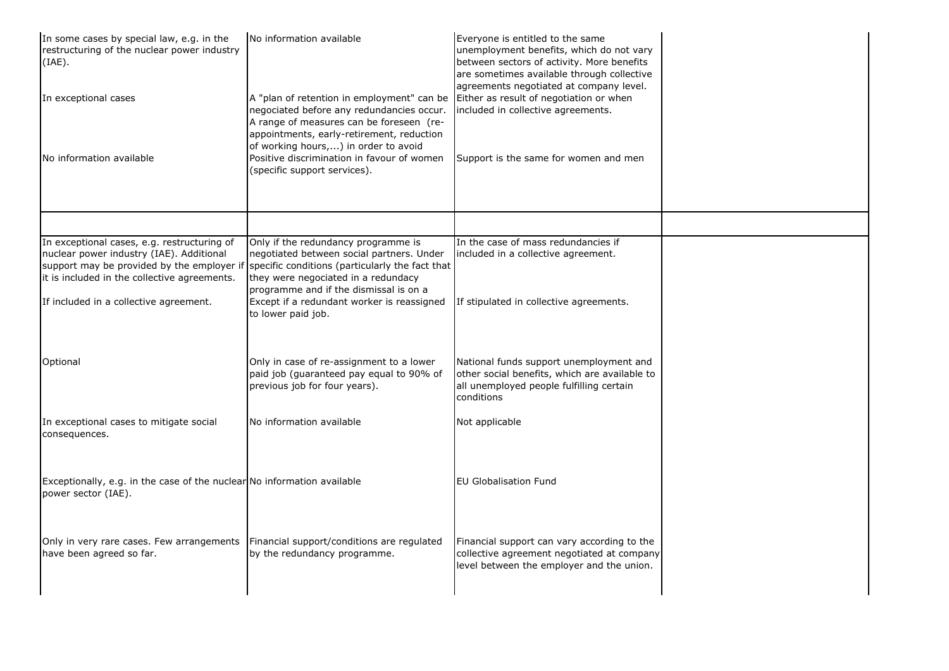| In some cases by special law, e.g. in the<br>restructuring of the nuclear power industry<br>(IAE).                                      | No information available                                                                                                                                                                                                 | Everyone is entitled to the same<br>unemployment benefits, which do not vary<br>between sectors of activity. More benefits<br>are sometimes available through collective<br>agreements negotiated at company level. |  |
|-----------------------------------------------------------------------------------------------------------------------------------------|--------------------------------------------------------------------------------------------------------------------------------------------------------------------------------------------------------------------------|---------------------------------------------------------------------------------------------------------------------------------------------------------------------------------------------------------------------|--|
| In exceptional cases                                                                                                                    | A "plan of retention in employment" can be<br>negociated before any redundancies occur.<br>A range of measures can be foreseen (re-<br>appointments, early-retirement, reduction<br>of working hours,) in order to avoid | Either as result of negotiation or when<br>included in collective agreements.                                                                                                                                       |  |
| No information available                                                                                                                | Positive discrimination in favour of women<br>(specific support services).                                                                                                                                               | Support is the same for women and men                                                                                                                                                                               |  |
|                                                                                                                                         |                                                                                                                                                                                                                          |                                                                                                                                                                                                                     |  |
| In exceptional cases, e.g. restructuring of<br>nuclear power industry (IAE). Additional<br>it is included in the collective agreements. | Only if the redundancy programme is<br>negotiated between social partners. Under<br>support may be provided by the employer if specific conditions (particularly the fact that<br>they were negociated in a redundacy    | In the case of mass redundancies if<br>included in a collective agreement.                                                                                                                                          |  |
| If included in a collective agreement.                                                                                                  | programme and if the dismissal is on a<br>Except if a redundant worker is reassigned<br>to lower paid job.                                                                                                               | If stipulated in collective agreements.                                                                                                                                                                             |  |
| Optional                                                                                                                                | Only in case of re-assignment to a lower<br>paid job (guaranteed pay equal to 90% of<br>previous job for four years).                                                                                                    | National funds support unemployment and<br>other social benefits, which are available to<br>all unemployed people fulfilling certain<br>conditions                                                                  |  |
| In exceptional cases to mitigate social<br>consequences.                                                                                | No information available                                                                                                                                                                                                 | Not applicable                                                                                                                                                                                                      |  |
| Exceptionally, e.g. in the case of the nuclear No information available<br>power sector (IAE).                                          |                                                                                                                                                                                                                          | <b>EU Globalisation Fund</b>                                                                                                                                                                                        |  |
| Only in very rare cases. Few arrangements<br>have been agreed so far.                                                                   | Financial support/conditions are regulated<br>by the redundancy programme.                                                                                                                                               | Financial support can vary according to the<br>collective agreement negotiated at company<br>level between the employer and the union.                                                                              |  |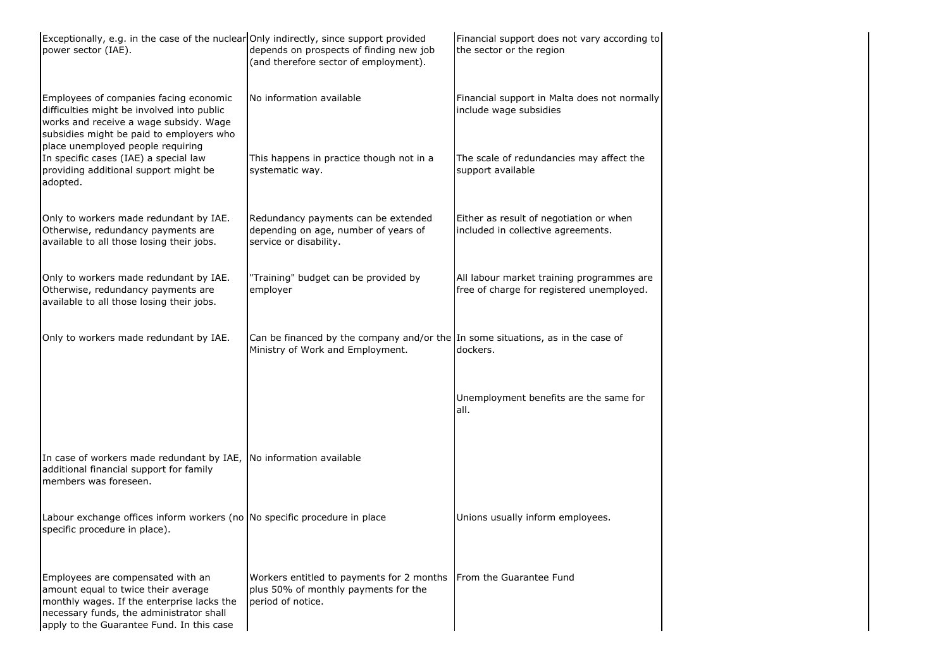| Exceptionally, e.g. in the case of the nuclear Only indirectly, since support provided<br>power sector (IAE).                                                                                                   | depends on prospects of finding new job<br>(and therefore sector of employment).                                    | Financial support does not vary according to<br>the sector or the region               |
|-----------------------------------------------------------------------------------------------------------------------------------------------------------------------------------------------------------------|---------------------------------------------------------------------------------------------------------------------|----------------------------------------------------------------------------------------|
| Employees of companies facing economic<br>difficulties might be involved into public<br>works and receive a wage subsidy. Wage<br>subsidies might be paid to employers who                                      | No information available                                                                                            | Financial support in Malta does not normally<br>include wage subsidies                 |
| place unemployed people requiring<br>In specific cases (IAE) a special law<br>providing additional support might be<br>adopted.                                                                                 | This happens in practice though not in a<br>systematic way.                                                         | The scale of redundancies may affect the<br>support available                          |
| Only to workers made redundant by IAE.<br>Otherwise, redundancy payments are<br>available to all those losing their jobs.                                                                                       | Redundancy payments can be extended<br>depending on age, number of years of<br>service or disability.               | Either as result of negotiation or when<br>included in collective agreements.          |
| Only to workers made redundant by IAE.<br>Otherwise, redundancy payments are<br>available to all those losing their jobs.                                                                                       | "Training" budget can be provided by<br>employer                                                                    | All labour market training programmes are<br>free of charge for registered unemployed. |
| Only to workers made redundant by IAE.                                                                                                                                                                          | Can be financed by the company and/or the In some situations, as in the case of<br>Ministry of Work and Employment. | dockers.                                                                               |
|                                                                                                                                                                                                                 |                                                                                                                     | Unemployment benefits are the same for<br>all.                                         |
| In case of workers made redundant by IAE, No information available<br>additional financial support for family<br>members was foreseen.                                                                          |                                                                                                                     |                                                                                        |
| Labour exchange offices inform workers (no No specific procedure in place<br>specific procedure in place).                                                                                                      |                                                                                                                     | Unions usually inform employees.                                                       |
| Employees are compensated with an<br>amount equal to twice their average<br>monthly wages. If the enterprise lacks the<br>necessary funds, the administrator shall<br>apply to the Guarantee Fund. In this case | Workers entitled to payments for 2 months<br>plus 50% of monthly payments for the<br>period of notice.              | <b>IFrom the Guarantee Fund</b>                                                        |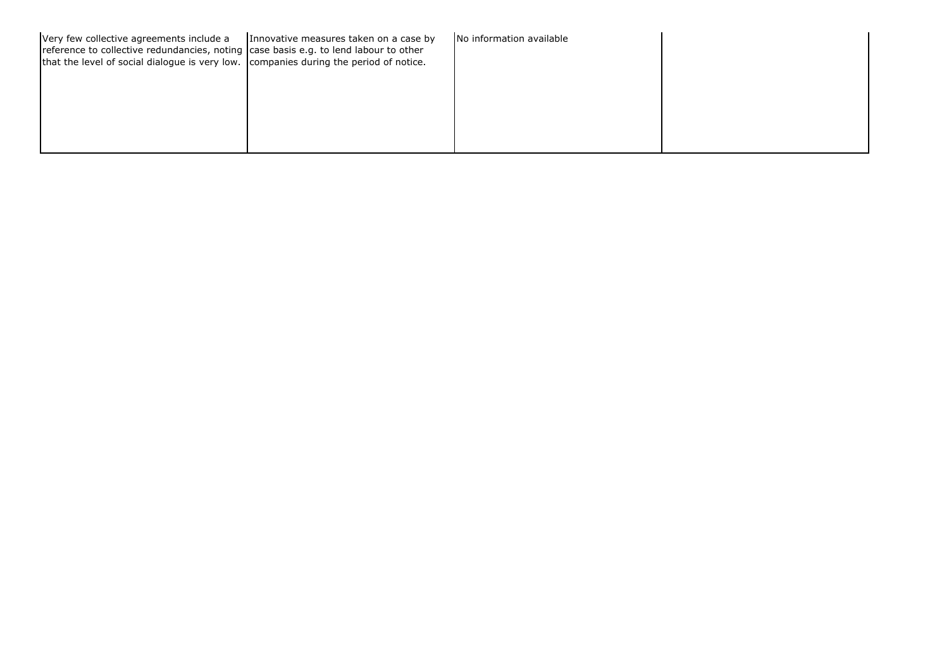| Very few collective agreements include a<br>reference to collective redundancies, noting case basis e.g. to lend labour to other<br>that the level of social dialogue is very low. companies during the period of notice. | Innovative measures taken on a case by | No information available |  |
|---------------------------------------------------------------------------------------------------------------------------------------------------------------------------------------------------------------------------|----------------------------------------|--------------------------|--|
|                                                                                                                                                                                                                           |                                        |                          |  |
|                                                                                                                                                                                                                           |                                        |                          |  |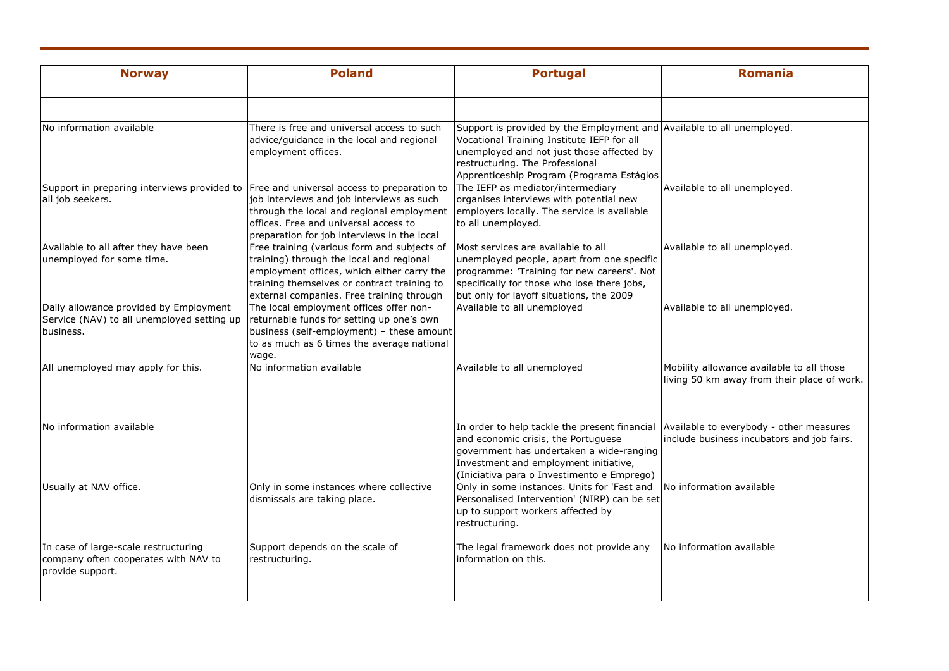| <b>Norway</b>                                                                                     | <b>Poland</b>                                                                                                                                                                                                                                                             | <b>Portugal</b>                                                                                                                                                                                                                                   | <b>Romania</b>                                                                           |
|---------------------------------------------------------------------------------------------------|---------------------------------------------------------------------------------------------------------------------------------------------------------------------------------------------------------------------------------------------------------------------------|---------------------------------------------------------------------------------------------------------------------------------------------------------------------------------------------------------------------------------------------------|------------------------------------------------------------------------------------------|
|                                                                                                   |                                                                                                                                                                                                                                                                           |                                                                                                                                                                                                                                                   |                                                                                          |
| No information available                                                                          | There is free and universal access to such<br>advice/guidance in the local and regional<br>employment offices.                                                                                                                                                            | Support is provided by the Employment and Available to all unemployed.<br>Vocational Training Institute IEFP for all<br>unemployed and not just those affected by<br>restructuring. The Professional<br>Apprenticeship Program (Programa Estágios |                                                                                          |
| all job seekers.                                                                                  | Support in preparing interviews provided to Free and universal access to preparation to<br>job interviews and job interviews as such<br>through the local and regional employment<br>offices. Free and universal access to<br>preparation for job interviews in the local | The IEFP as mediator/intermediary<br>organises interviews with potential new<br>employers locally. The service is available<br>to all unemployed.                                                                                                 | Available to all unemployed.                                                             |
| Available to all after they have been<br>unemployed for some time.                                | Free training (various form and subjects of<br>training) through the local and regional<br>employment offices, which either carry the<br>training themselves or contract training to<br>external companies. Free training through                                         | Most services are available to all<br>unemployed people, apart from one specific<br>programme: 'Training for new careers'. Not<br>specifically for those who lose there jobs,<br>but only for layoff situations, the 2009                         | Available to all unemployed.                                                             |
| Daily allowance provided by Employment<br>Service (NAV) to all unemployed setting up<br>business. | The local employment offices offer non-<br>returnable funds for setting up one's own<br>business (self-employment) - these amount<br>to as much as 6 times the average national<br>wage.                                                                                  | Available to all unemployed                                                                                                                                                                                                                       | Available to all unemployed.                                                             |
| All unemployed may apply for this.                                                                | No information available                                                                                                                                                                                                                                                  | Available to all unemployed                                                                                                                                                                                                                       | Mobility allowance available to all those<br>living 50 km away from their place of work. |
| No information available                                                                          |                                                                                                                                                                                                                                                                           | In order to help tackle the present financial<br>and economic crisis, the Portuguese<br>government has undertaken a wide-ranging<br>Investment and employment initiative,<br>(Iniciativa para o Investimento e Emprego)                           | Available to everybody - other measures<br>include business incubators and job fairs.    |
| Usually at NAV office.                                                                            | Only in some instances where collective<br>dismissals are taking place.                                                                                                                                                                                                   | Only in some instances. Units for 'Fast and<br>Personalised Intervention' (NIRP) can be set<br>up to support workers affected by<br>restructuring.                                                                                                | No information available                                                                 |
| In case of large-scale restructuring<br>company often cooperates with NAV to<br>provide support.  | Support depends on the scale of<br>restructuring.                                                                                                                                                                                                                         | The legal framework does not provide any<br>information on this.                                                                                                                                                                                  | No information available                                                                 |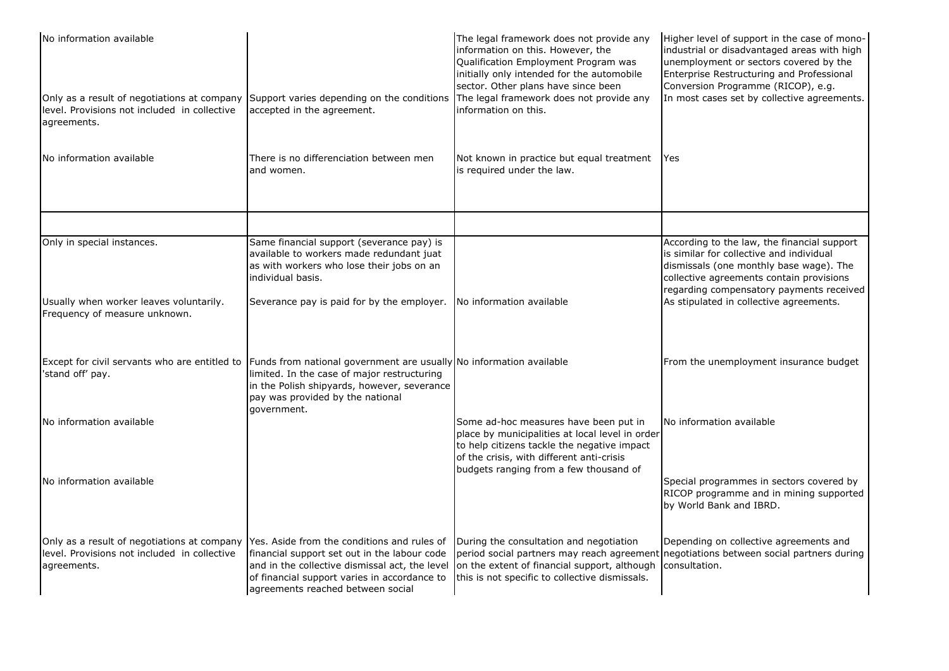| No information available                                                                                                                               |                                                                                                                                                                                                                      | The legal framework does not provide any<br>information on this. However, the<br>Qualification Employment Program was<br>initially only intended for the automobile<br>sector. Other plans have since been                     | Higher level of support in the case of mono-<br>industrial or disadvantaged areas with high<br>unemployment or sectors covered by the<br>Enterprise Restructuring and Professional<br>Conversion Programme (RICOP), e.g.   |
|--------------------------------------------------------------------------------------------------------------------------------------------------------|----------------------------------------------------------------------------------------------------------------------------------------------------------------------------------------------------------------------|--------------------------------------------------------------------------------------------------------------------------------------------------------------------------------------------------------------------------------|----------------------------------------------------------------------------------------------------------------------------------------------------------------------------------------------------------------------------|
| Only as a result of negotiations at company Support varies depending on the conditions<br>level. Provisions not included in collective<br>agreements.  | accepted in the agreement.                                                                                                                                                                                           | The legal framework does not provide any<br>information on this.                                                                                                                                                               | In most cases set by collective agreements.                                                                                                                                                                                |
| No information available                                                                                                                               | There is no differenciation between men<br>and women.                                                                                                                                                                | Not known in practice but equal treatment<br>is required under the law.                                                                                                                                                        | <b>IYes</b>                                                                                                                                                                                                                |
|                                                                                                                                                        |                                                                                                                                                                                                                      |                                                                                                                                                                                                                                |                                                                                                                                                                                                                            |
| Only in special instances.                                                                                                                             | Same financial support (severance pay) is<br>available to workers made redundant juat<br>as with workers who lose their jobs on an<br>individual basis.                                                              |                                                                                                                                                                                                                                | According to the law, the financial support<br>is similar for collective and individual<br>dismissals (one monthly base wage). The<br>collective agreements contain provisions<br>regarding compensatory payments received |
| Usually when worker leaves voluntarily.<br>Frequency of measure unknown.                                                                               | Severance pay is paid for by the employer.                                                                                                                                                                           | No information available                                                                                                                                                                                                       | As stipulated in collective agreements.                                                                                                                                                                                    |
| Except for civil servants who are entitled to<br>'stand off' pay.                                                                                      | Funds from national government are usually No information available<br>limited. In the case of major restructuring<br>in the Polish shipyards, however, severance<br>pay was provided by the national<br>government. |                                                                                                                                                                                                                                | From the unemployment insurance budget                                                                                                                                                                                     |
| No information available                                                                                                                               |                                                                                                                                                                                                                      | Some ad-hoc measures have been put in<br>place by municipalities at local level in order<br>to help citizens tackle the negative impact<br>of the crisis, with different anti-crisis<br>budgets ranging from a few thousand of | No information available                                                                                                                                                                                                   |
| No information available                                                                                                                               |                                                                                                                                                                                                                      |                                                                                                                                                                                                                                | Special programmes in sectors covered by<br>RICOP programme and in mining supported<br>by World Bank and IBRD.                                                                                                             |
| Only as a result of negotiations at company Yes. Aside from the conditions and rules of<br>level. Provisions not included in collective<br>agreements. | financial support set out in the labour code<br>and in the collective dismissal act, the level<br>of financial support varies in accordance to<br>agreements reached between social                                  | During the consultation and negotiation<br>on the extent of financial support, although<br>this is not specific to collective dismissals.                                                                                      | Depending on collective agreements and<br>period social partners may reach agreement negotiations between social partners during<br>consultation.                                                                          |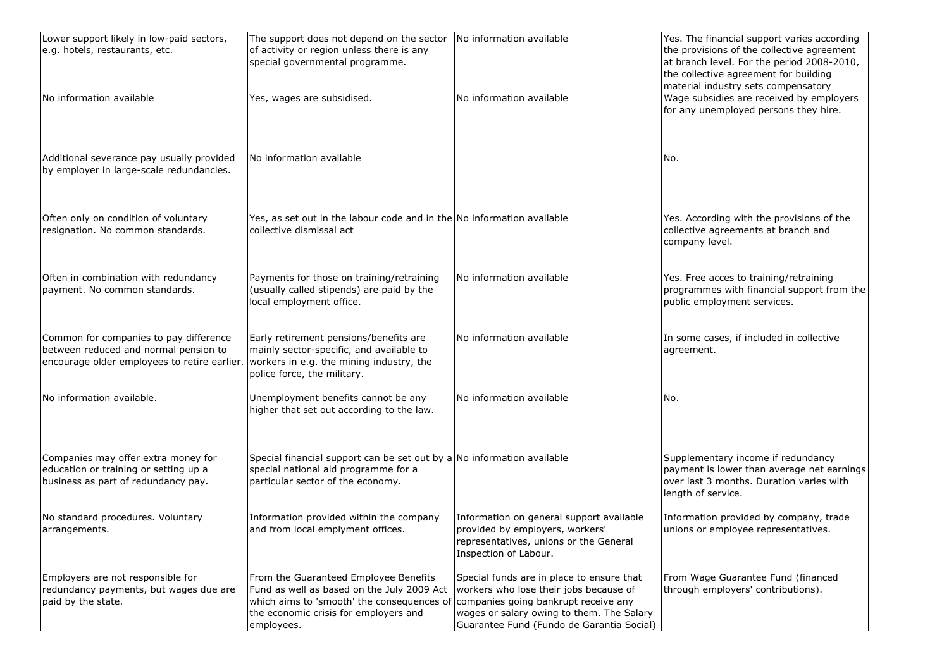| Lower support likely in low-paid sectors,<br>e.g. hotels, restaurants, etc.                                                                                              | The support does not depend on the sector<br>of activity or region unless there is any<br>special governmental programme.                                                                | No information available                                                                                                                                                                                              | Yes. The financial support varies according<br>the provisions of the collective agreement<br>at branch level. For the period 2008-2010,<br>the collective agreement for building |
|--------------------------------------------------------------------------------------------------------------------------------------------------------------------------|------------------------------------------------------------------------------------------------------------------------------------------------------------------------------------------|-----------------------------------------------------------------------------------------------------------------------------------------------------------------------------------------------------------------------|----------------------------------------------------------------------------------------------------------------------------------------------------------------------------------|
| No information available                                                                                                                                                 | Yes, wages are subsidised.                                                                                                                                                               | No information available                                                                                                                                                                                              | material industry sets compensatory<br>Wage subsidies are received by employers<br>for any unemployed persons they hire.                                                         |
| Additional severance pay usually provided<br>by employer in large-scale redundancies.                                                                                    | No information available                                                                                                                                                                 |                                                                                                                                                                                                                       | No.                                                                                                                                                                              |
| Often only on condition of voluntary<br>resignation. No common standards.                                                                                                | Yes, as set out in the labour code and in the No information available<br>collective dismissal act                                                                                       |                                                                                                                                                                                                                       | Yes. According with the provisions of the<br>collective agreements at branch and<br>company level.                                                                               |
| Often in combination with redundancy<br>payment. No common standards.                                                                                                    | Payments for those on training/retraining<br>(usually called stipends) are paid by the<br>local employment office.                                                                       | No information available                                                                                                                                                                                              | Yes. Free acces to training/retraining<br>programmes with financial support from the<br>public employment services.                                                              |
| Common for companies to pay difference<br>between reduced and normal pension to<br>encourage older employees to retire earlier. workers in e.g. the mining industry, the | Early retirement pensions/benefits are<br>mainly sector-specific, and available to<br>police force, the military.                                                                        | No information available                                                                                                                                                                                              | In some cases, if included in collective<br>agreement.                                                                                                                           |
| No information available.                                                                                                                                                | Unemployment benefits cannot be any<br>higher that set out according to the law.                                                                                                         | No information available                                                                                                                                                                                              | No.                                                                                                                                                                              |
| Companies may offer extra money for<br>education or training or setting up a<br>business as part of redundancy pay.                                                      | Special financial support can be set out by a No information available<br>special national aid programme for a<br>particular sector of the economy.                                      |                                                                                                                                                                                                                       | Supplementary income if redundancy<br>payment is lower than average net earnings<br>over last 3 months. Duration varies with<br>length of service.                               |
| No standard procedures. Voluntary<br>arrangements.                                                                                                                       | Information provided within the company<br>and from local emplyment offices.                                                                                                             | Information on general support available<br>provided by employers, workers'<br>representatives, unions or the General<br>Inspection of Labour.                                                                        | Information provided by company, trade<br>unions or employee representatives.                                                                                                    |
| Employers are not responsible for<br>redundancy payments, but wages due are<br>paid by the state.                                                                        | From the Guaranteed Employee Benefits<br>Fund as well as based on the July 2009 Act<br>which aims to 'smooth' the consequences of<br>the economic crisis for employers and<br>employees. | Special funds are in place to ensure that<br>workers who lose their jobs because of<br>companies going bankrupt receive any<br>wages or salary owing to them. The Salary<br>Guarantee Fund (Fundo de Garantia Social) | From Wage Guarantee Fund (financed<br>through employers' contributions).                                                                                                         |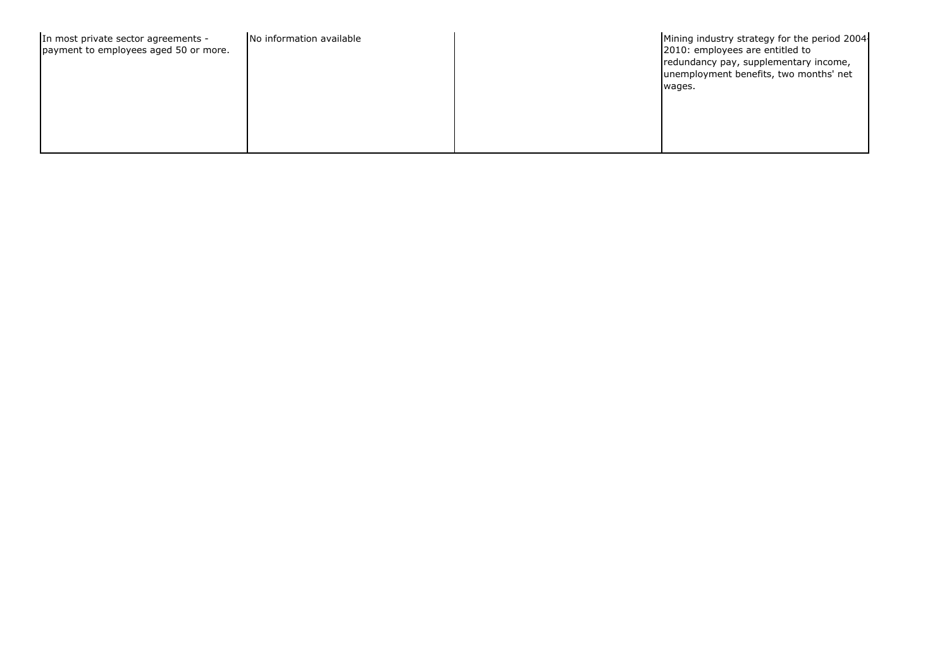| In most private sector agreements -<br>No information available<br>payment to employees aged 50 or more. | Mining industry strategy for the period 2004<br>2010: employees are entitled to<br>redundancy pay, supplementary income,<br>unemployment benefits, two months' net<br>wages. |
|----------------------------------------------------------------------------------------------------------|------------------------------------------------------------------------------------------------------------------------------------------------------------------------------|
|----------------------------------------------------------------------------------------------------------|------------------------------------------------------------------------------------------------------------------------------------------------------------------------------|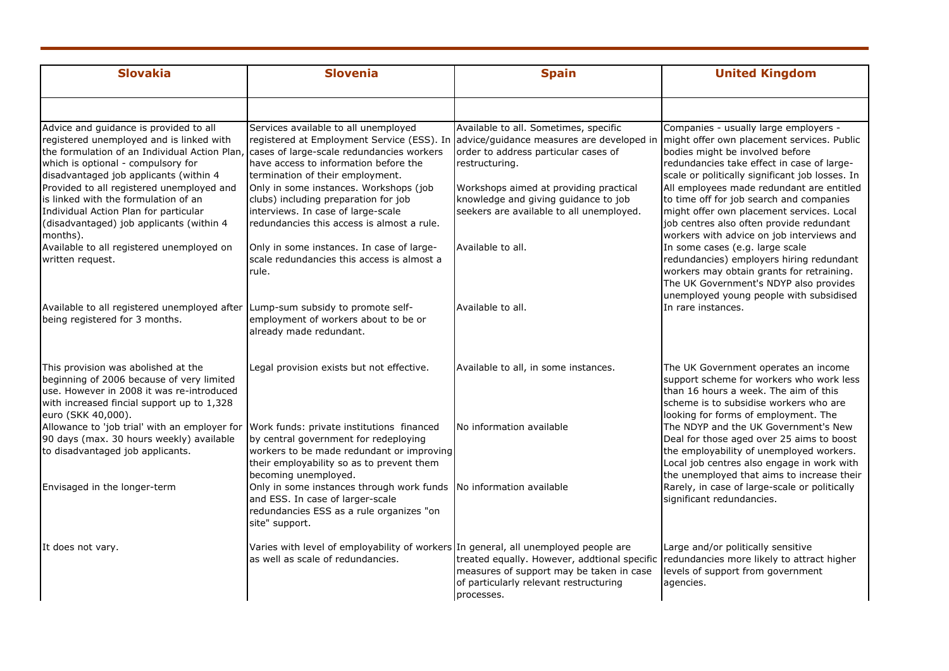| <b>Slovakia</b>                                                                                                                                                                                                     | <b>Slovenia</b>                                                                                                                                                                                      | <b>Spain</b>                                                                                                                                     | <b>United Kingdom</b>                                                                                                                                                                                                       |
|---------------------------------------------------------------------------------------------------------------------------------------------------------------------------------------------------------------------|------------------------------------------------------------------------------------------------------------------------------------------------------------------------------------------------------|--------------------------------------------------------------------------------------------------------------------------------------------------|-----------------------------------------------------------------------------------------------------------------------------------------------------------------------------------------------------------------------------|
| Advice and guidance is provided to all                                                                                                                                                                              | Services available to all unemployed                                                                                                                                                                 | Available to all. Sometimes, specific                                                                                                            | Companies - usually large employers -                                                                                                                                                                                       |
| registered unemployed and is linked with<br>the formulation of an Individual Action Plan, cases of large-scale redundancies workers<br>which is optional - compulsory for<br>disadvantaged job applicants (within 4 | have access to information before the<br>termination of their employment.                                                                                                                            | registered at Employment Service (ESS). In advice/guidance measures are developed in<br>order to address particular cases of<br>restructuring.   | might offer own placement services. Public<br>bodies might be involved before<br>redundancies take effect in case of large-<br>scale or politically significant job losses. In                                              |
| Provided to all registered unemployed and<br>is linked with the formulation of an<br>Individual Action Plan for particular<br>(disadvantaged) job applicants (within 4<br>months).                                  | Only in some instances. Workshops (job<br>clubs) including preparation for job<br>interviews. In case of large-scale<br>redundancies this access is almost a rule.                                   | Workshops aimed at providing practical<br>knowledge and giving guidance to job<br>seekers are available to all unemployed.                       | All employees made redundant are entitled<br>to time off for job search and companies<br>might offer own placement services. Local<br>job centres also often provide redundant<br>workers with advice on job interviews and |
| Available to all registered unemployed on<br>written request.                                                                                                                                                       | Only in some instances. In case of large-<br>scale redundancies this access is almost a<br>rule.                                                                                                     | Available to all.                                                                                                                                | In some cases (e.g. large scale<br>redundancies) employers hiring redundant<br>workers may obtain grants for retraining.<br>The UK Government's NDYP also provides<br>unemployed young people with subsidised               |
| Available to all registered unemployed after Lump-sum subsidy to promote self-<br>being registered for 3 months.                                                                                                    | employment of workers about to be or<br>already made redundant.                                                                                                                                      | Available to all.                                                                                                                                | In rare instances.                                                                                                                                                                                                          |
| This provision was abolished at the<br>beginning of 2006 because of very limited<br>use. However in 2008 it was re-introduced<br>with increased fincial support up to 1,328<br>euro (SKK 40,000).                   | Legal provision exists but not effective.                                                                                                                                                            | Available to all, in some instances.                                                                                                             | The UK Government operates an income<br>support scheme for workers who work less<br>than 16 hours a week. The aim of this<br>scheme is to subsidise workers who are<br>looking for forms of employment. The                 |
| Allowance to 'job trial' with an employer for<br>90 days (max. 30 hours weekly) available<br>to disadvantaged job applicants.                                                                                       | Work funds: private institutions financed<br>by central government for redeploying<br>workers to be made redundant or improving<br>their employability so as to prevent them<br>becoming unemployed. | No information available                                                                                                                         | The NDYP and the UK Government's New<br>Deal for those aged over 25 aims to boost<br>the employability of unemployed workers.<br>Local job centres also engage in work with<br>the unemployed that aims to increase their   |
| Envisaged in the longer-term                                                                                                                                                                                        | Only in some instances through work funds No information available<br>and ESS. In case of larger-scale<br>redundancies ESS as a rule organizes "on<br>site" support.                                 |                                                                                                                                                  | Rarely, in case of large-scale or politically<br>significant redundancies.                                                                                                                                                  |
| It does not vary.                                                                                                                                                                                                   | Varies with level of employability of workers In general, all unemployed people are<br>as well as scale of redundancies.                                                                             | treated equally. However, addtional specific<br>measures of support may be taken in case<br>of particularly relevant restructuring<br>processes. | Large and/or politically sensitive<br>redundancies more likely to attract higher<br>levels of support from government<br>agencies.                                                                                          |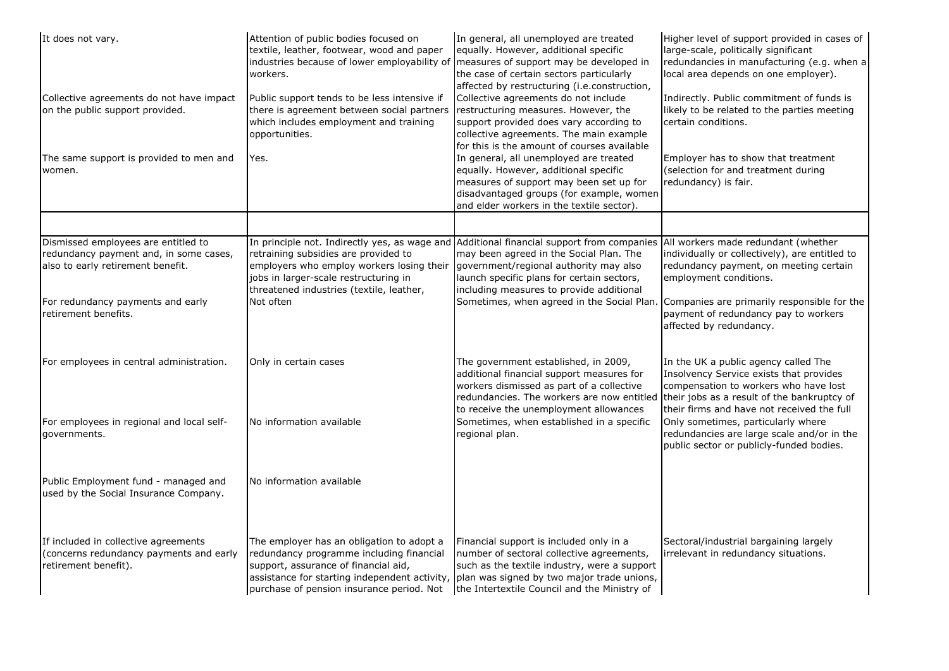| It does not vary.<br>Collective agreements do not have impact<br>on the public support provided.<br>The same support is provided to men and<br>women. | Attention of public bodies focused on<br>textile, leather, footwear, wood and paper<br>industries because of lower employability of<br>workers.<br>Public support tends to be less intensive if<br>there is agreement between social partners<br>which includes employment and training<br>opportunities.<br>Yes. | In general, all unemployed are treated<br>equally. However, additional specific<br>measures of support may be developed in<br>the case of certain sectors particularly<br>affected by restructuring (i.e.construction,<br>Collective agreements do not include<br>restructuring measures. However, the<br>support provided does vary according to<br>collective agreements. The main example<br>for this is the amount of courses available<br>In general, all unemployed are treated<br>equally. However, additional specific<br>measures of support may been set up for<br>disadvantaged groups (for example, women<br>and elder workers in the textile sector). | Higher level of support provided in cases of<br>large-scale, politically significant<br>redundancies in manufacturing (e.g. when a<br>local area depends on one employer).<br>Indirectly. Public commitment of funds is<br>likely to be related to the parties meeting<br>certain conditions.<br>Employer has to show that treatment<br>(selection for and treatment during<br>redundancy) is fair. |                                                                                                                    |                                                                                                                                                                        |                                                                                                                                                                                                                                                                                                              |                                                                                                                    |
|-------------------------------------------------------------------------------------------------------------------------------------------------------|-------------------------------------------------------------------------------------------------------------------------------------------------------------------------------------------------------------------------------------------------------------------------------------------------------------------|--------------------------------------------------------------------------------------------------------------------------------------------------------------------------------------------------------------------------------------------------------------------------------------------------------------------------------------------------------------------------------------------------------------------------------------------------------------------------------------------------------------------------------------------------------------------------------------------------------------------------------------------------------------------|-----------------------------------------------------------------------------------------------------------------------------------------------------------------------------------------------------------------------------------------------------------------------------------------------------------------------------------------------------------------------------------------------------|--------------------------------------------------------------------------------------------------------------------|------------------------------------------------------------------------------------------------------------------------------------------------------------------------|--------------------------------------------------------------------------------------------------------------------------------------------------------------------------------------------------------------------------------------------------------------------------------------------------------------|--------------------------------------------------------------------------------------------------------------------|
|                                                                                                                                                       |                                                                                                                                                                                                                                                                                                                   |                                                                                                                                                                                                                                                                                                                                                                                                                                                                                                                                                                                                                                                                    |                                                                                                                                                                                                                                                                                                                                                                                                     |                                                                                                                    |                                                                                                                                                                        |                                                                                                                                                                                                                                                                                                              |                                                                                                                    |
|                                                                                                                                                       |                                                                                                                                                                                                                                                                                                                   |                                                                                                                                                                                                                                                                                                                                                                                                                                                                                                                                                                                                                                                                    |                                                                                                                                                                                                                                                                                                                                                                                                     | Dismissed employees are entitled to<br>redundancy payment and, in some cases,<br>also to early retirement benefit. | retraining subsidies are provided to<br>employers who employ workers losing their<br>jobs in larger-scale restructuring in<br>threatened industries (textile, leather, | In principle not. Indirectly yes, as wage and Additional financial support from companies All workers made redundant (whether<br>may been agreed in the Social Plan. The<br>government/regional authority may also<br>launch specific plans for certain sectors,<br>including measures to provide additional | individually or collectively), are entitled to<br>redundancy payment, on meeting certain<br>employment conditions. |
| For redundancy payments and early<br>retirement benefits.                                                                                             | Not often                                                                                                                                                                                                                                                                                                         | Sometimes, when agreed in the Social Plan.                                                                                                                                                                                                                                                                                                                                                                                                                                                                                                                                                                                                                         | Companies are primarily responsible for the<br>payment of redundancy pay to workers<br>affected by redundancy.                                                                                                                                                                                                                                                                                      |                                                                                                                    |                                                                                                                                                                        |                                                                                                                                                                                                                                                                                                              |                                                                                                                    |
| For employees in central administration.                                                                                                              | Only in certain cases                                                                                                                                                                                                                                                                                             | The government established, in 2009,<br>additional financial support measures for<br>workers dismissed as part of a collective<br>redundancies. The workers are now entitled<br>to receive the unemployment allowances                                                                                                                                                                                                                                                                                                                                                                                                                                             | In the UK a public agency called The<br>Insolvency Service exists that provides<br>compensation to workers who have lost<br>their jobs as a result of the bankruptcy of<br>their firms and have not received the full                                                                                                                                                                               |                                                                                                                    |                                                                                                                                                                        |                                                                                                                                                                                                                                                                                                              |                                                                                                                    |
| For employees in regional and local self-<br>governments.                                                                                             | No information available                                                                                                                                                                                                                                                                                          | Sometimes, when established in a specific<br>regional plan.                                                                                                                                                                                                                                                                                                                                                                                                                                                                                                                                                                                                        | Only sometimes, particularly where<br>redundancies are large scale and/or in the<br>public sector or publicly-funded bodies.                                                                                                                                                                                                                                                                        |                                                                                                                    |                                                                                                                                                                        |                                                                                                                                                                                                                                                                                                              |                                                                                                                    |
| Public Employment fund - managed and<br>used by the Social Insurance Company.                                                                         | No information available                                                                                                                                                                                                                                                                                          |                                                                                                                                                                                                                                                                                                                                                                                                                                                                                                                                                                                                                                                                    |                                                                                                                                                                                                                                                                                                                                                                                                     |                                                                                                                    |                                                                                                                                                                        |                                                                                                                                                                                                                                                                                                              |                                                                                                                    |
| If included in collective agreements<br>(concerns redundancy payments and early<br>retirement benefit).                                               | The employer has an obligation to adopt a<br>redundancy programme including financial<br>support, assurance of financial aid,<br>purchase of pension insurance period. Not                                                                                                                                        | Financial support is included only in a<br>number of sectoral collective agreements,<br>such as the textile industry, were a support<br>assistance for starting independent activity, $\vert$ plan was signed by two major trade unions,<br>the Intertextile Council and the Ministry of                                                                                                                                                                                                                                                                                                                                                                           | Sectoral/industrial bargaining largely<br>irrelevant in redundancy situations.                                                                                                                                                                                                                                                                                                                      |                                                                                                                    |                                                                                                                                                                        |                                                                                                                                                                                                                                                                                                              |                                                                                                                    |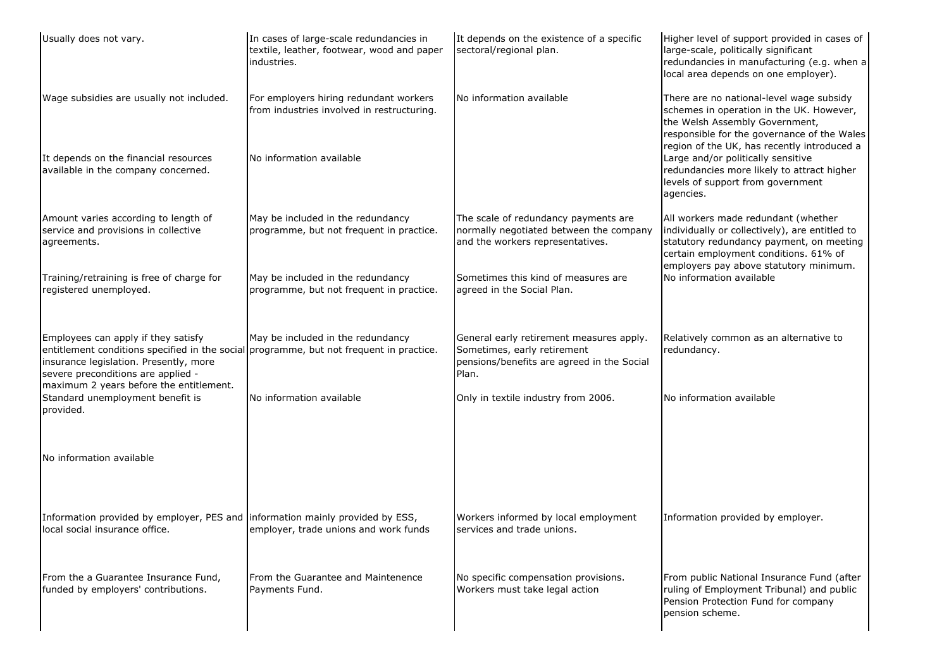| Usually does not vary.                                                                                                                                                                                                                                    | In cases of large-scale redundancies in<br>textile, leather, footwear, wood and paper<br>industries.             | It depends on the existence of a specific<br>sectoral/regional plan.                                                           | Higher level of support provided in cases of<br>large-scale, politically significant<br>redundancies in manufacturing (e.g. when a<br>local area depends on one employer).                                                                                                                               |
|-----------------------------------------------------------------------------------------------------------------------------------------------------------------------------------------------------------------------------------------------------------|------------------------------------------------------------------------------------------------------------------|--------------------------------------------------------------------------------------------------------------------------------|----------------------------------------------------------------------------------------------------------------------------------------------------------------------------------------------------------------------------------------------------------------------------------------------------------|
| Wage subsidies are usually not included.<br>It depends on the financial resources<br>available in the company concerned.                                                                                                                                  | For employers hiring redundant workers<br>from industries involved in restructuring.<br>No information available | No information available                                                                                                       | There are no national-level wage subsidy<br>schemes in operation in the UK. However,<br>the Welsh Assembly Government,<br>responsible for the governance of the Wales<br>region of the UK, has recently introduced a<br>Large and/or politically sensitive<br>redundancies more likely to attract higher |
|                                                                                                                                                                                                                                                           |                                                                                                                  |                                                                                                                                | levels of support from government<br>agencies.                                                                                                                                                                                                                                                           |
| Amount varies according to length of<br>service and provisions in collective<br>agreements.                                                                                                                                                               | May be included in the redundancy<br>programme, but not frequent in practice.                                    | The scale of redundancy payments are<br>normally negotiated between the company<br>and the workers representatives.            | All workers made redundant (whether<br>individually or collectively), are entitled to<br>statutory redundancy payment, on meeting<br>certain employment conditions. 61% of<br>employers pay above statutory minimum.                                                                                     |
| Training/retraining is free of charge for<br>registered unemployed.                                                                                                                                                                                       | May be included in the redundancy<br>programme, but not frequent in practice.                                    | Sometimes this kind of measures are<br>agreed in the Social Plan.                                                              | No information available                                                                                                                                                                                                                                                                                 |
| Employees can apply if they satisfy<br>entitlement conditions specified in the social programme, but not frequent in practice.<br>insurance legislation. Presently, more<br>severe preconditions are applied -<br>maximum 2 years before the entitlement. | May be included in the redundancy                                                                                | General early retirement measures apply.<br>Sometimes, early retirement<br>pensions/benefits are agreed in the Social<br>Plan. | Relatively common as an alternative to<br>redundancy.                                                                                                                                                                                                                                                    |
| Standard unemployment benefit is<br>provided.                                                                                                                                                                                                             | No information available                                                                                         | Only in textile industry from 2006.                                                                                            | No information available                                                                                                                                                                                                                                                                                 |
| No information available                                                                                                                                                                                                                                  |                                                                                                                  |                                                                                                                                |                                                                                                                                                                                                                                                                                                          |
| Information provided by employer, PES and information mainly provided by ESS,<br>local social insurance office.                                                                                                                                           | employer, trade unions and work funds                                                                            | Workers informed by local employment<br>services and trade unions.                                                             | Information provided by employer.                                                                                                                                                                                                                                                                        |
| From the a Guarantee Insurance Fund,<br>funded by employers' contributions.                                                                                                                                                                               | From the Guarantee and Maintenence<br>Payments Fund.                                                             | No specific compensation provisions.<br>Workers must take legal action                                                         | From public National Insurance Fund (after<br>ruling of Employment Tribunal) and public<br>Pension Protection Fund for company<br>pension scheme.                                                                                                                                                        |